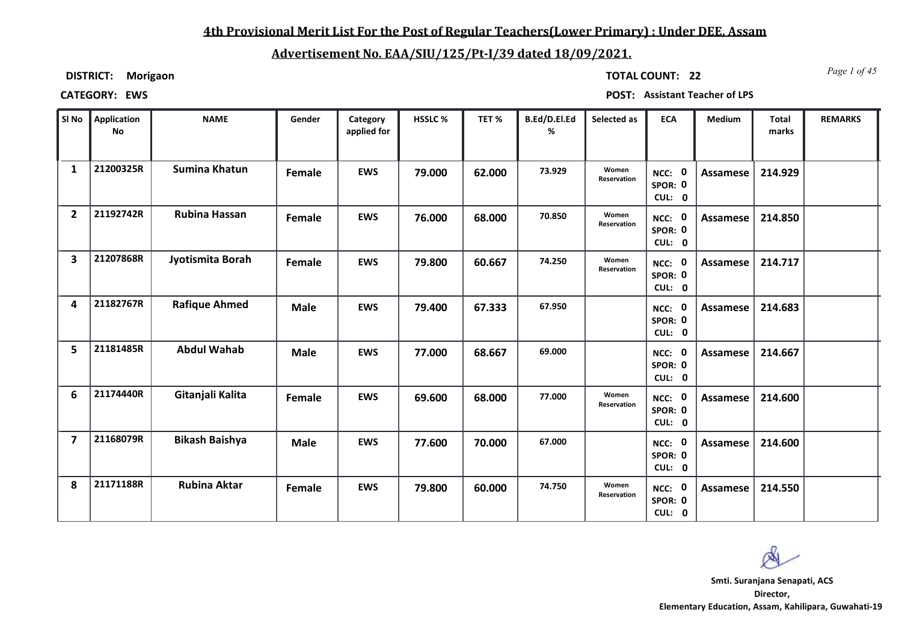## **4th Provisional Merit List For the Post of Regular Teachers(Lower Primary) : Under DEE, Assam**

# **Advertisement No. EAA/SIU/125/Pt-I/39 dated 18/09/2021.**

**DISTRICT: Morigaon**

*Page 1 of 45* **TOTAL COUNT: 22**

| SI No                   | Application<br><b>No</b> | <b>NAME</b>           | Gender      | Category<br>applied for | HSSLC% | TET%   | B.Ed/D.El.Ed<br>% | Selected as                 | <b>ECA</b>                  | Medium          | <b>Total</b><br>marks | <b>REMARKS</b> |
|-------------------------|--------------------------|-----------------------|-------------|-------------------------|--------|--------|-------------------|-----------------------------|-----------------------------|-----------------|-----------------------|----------------|
| $\mathbf{1}$            | 21200325R                | <b>Sumina Khatun</b>  | Female      | <b>EWS</b>              | 79.000 | 62.000 | 73.929            | Women<br>Reservation        | NCC: 0<br>SPOR: 0<br>CUL: 0 | Assamese        | 214.929               |                |
| $\overline{2}$          | 21192742R                | Rubina Hassan         | Female      | <b>EWS</b>              | 76.000 | 68.000 | 70.850            | Women<br>Reservation        | NCC: 0<br>SPOR: 0<br>CUL: 0 | Assamese        | 214.850               |                |
| $\overline{\mathbf{3}}$ | 21207868R                | Jyotismita Borah      | Female      | <b>EWS</b>              | 79.800 | 60.667 | 74.250            | Women<br><b>Reservation</b> | NCC: 0<br>SPOR: 0<br>CUL: 0 | Assamese        | 214.717               |                |
| 4                       | 21182767R                | <b>Rafique Ahmed</b>  | <b>Male</b> | <b>EWS</b>              | 79.400 | 67.333 | 67.950            |                             | NCC: 0<br>SPOR: 0<br>CUL: 0 | Assamese        | 214.683               |                |
| 5                       | 21181485R                | <b>Abdul Wahab</b>    | <b>Male</b> | <b>EWS</b>              | 77.000 | 68.667 | 69.000            |                             | NCC: 0<br>SPOR: 0<br>CUL: 0 | <b>Assamese</b> | 214.667               |                |
| 6                       | 21174440R                | Gitanjali Kalita      | Female      | <b>EWS</b>              | 69.600 | 68.000 | 77.000            | Women<br>Reservation        | NCC: 0<br>SPOR: 0<br>CUL: 0 | Assamese        | 214.600               |                |
| $\overline{\mathbf{z}}$ | 21168079R                | <b>Bikash Baishya</b> | <b>Male</b> | <b>EWS</b>              | 77.600 | 70.000 | 67.000            |                             | NCC: 0<br>SPOR: 0<br>CUL: 0 | Assamese        | 214.600               |                |
| 8                       | 21171188R                | <b>Rubina Aktar</b>   | Female      | <b>EWS</b>              | 79.800 | 60.000 | 74.750            | Women<br>Reservation        | NCC: 0<br>SPOR: 0<br>CUL: 0 | Assamese        | 214.550               |                |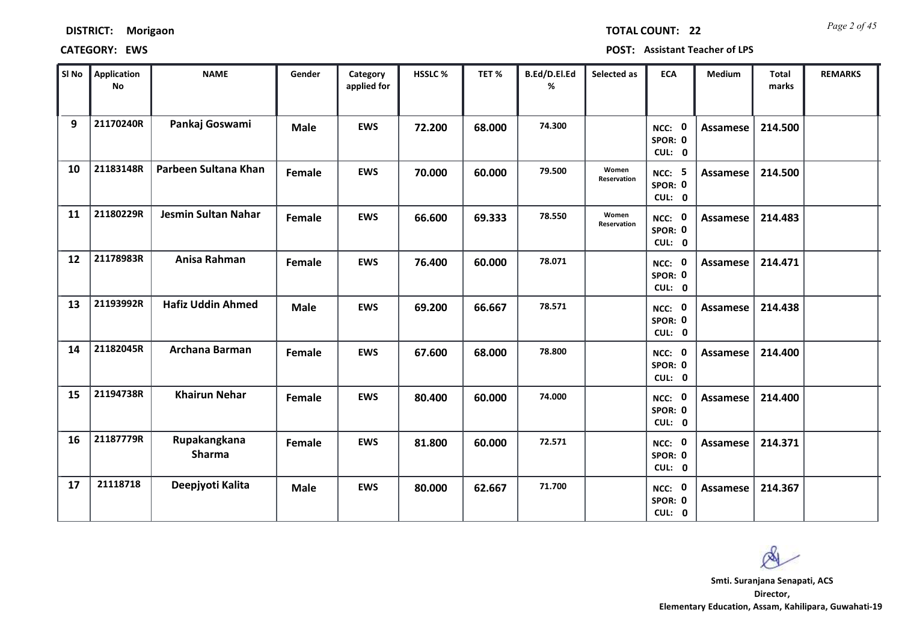| <b>DISTRICT:</b> | Morigaon |
|------------------|----------|
|------------------|----------|

*Page 2 of 45* **TOTAL COUNT: 22**

| SI No | <b>Application</b><br><b>No</b> | <b>NAME</b>                   | Gender      | Category<br>applied for | HSSLC % | TET %  | B.Ed/D.El.Ed<br>% | Selected as          | <b>ECA</b>                         | <b>Medium</b>   | <b>Total</b><br>marks | <b>REMARKS</b> |
|-------|---------------------------------|-------------------------------|-------------|-------------------------|---------|--------|-------------------|----------------------|------------------------------------|-----------------|-----------------------|----------------|
| 9     | 21170240R                       | Pankaj Goswami                | <b>Male</b> | <b>EWS</b>              | 72.200  | 68.000 | 74.300            |                      | NCC: 0<br>SPOR: 0<br>CUL: 0        | Assamese        | 214.500               |                |
| 10    | 21183148R                       | Parbeen Sultana Khan          | Female      | <b>EWS</b>              | 70.000  | 60.000 | 79.500            | Women<br>Reservation | <b>NCC: 5</b><br>SPOR: 0<br>CUL: 0 | Assamese        | 214.500               |                |
| 11    | 21180229R                       | Jesmin Sultan Nahar           | Female      | <b>EWS</b>              | 66.600  | 69.333 | 78.550            | Women<br>Reservation | NCC: 0<br>SPOR: 0<br>CUL: 0        | <b>Assamese</b> | 214.483               |                |
| 12    | 21178983R                       | Anisa Rahman                  | Female      | <b>EWS</b>              | 76.400  | 60.000 | 78.071            |                      | 0<br>NCC:<br>SPOR: 0<br>CUL: 0     | Assamese        | 214.471               |                |
| 13    | 21193992R                       | <b>Hafiz Uddin Ahmed</b>      | <b>Male</b> | <b>EWS</b>              | 69.200  | 66.667 | 78.571            |                      | NCC: 0<br>SPOR: 0<br>CUL: 0        | <b>Assamese</b> | 214.438               |                |
| 14    | 21182045R                       | Archana Barman                | Female      | <b>EWS</b>              | 67.600  | 68.000 | 78.800            |                      | NCC: 0<br>SPOR: 0<br>CUL: 0        | Assamese        | 214.400               |                |
| 15    | 21194738R                       | <b>Khairun Nehar</b>          | Female      | <b>EWS</b>              | 80.400  | 60.000 | 74.000            |                      | NCC: 0<br>SPOR: 0<br>CUL: 0        | <b>Assamese</b> | 214.400               |                |
| 16    | 21187779R                       | Rupakangkana<br><b>Sharma</b> | Female      | <b>EWS</b>              | 81.800  | 60.000 | 72.571            |                      | NCC: 0<br>SPOR: 0<br>CUL: 0        | <b>Assamese</b> | 214.371               |                |
| 17    | 21118718                        | Deepjyoti Kalita              | <b>Male</b> | <b>EWS</b>              | 80.000  | 62.667 | 71.700            |                      | NCC: 0<br>SPOR: 0<br>CUL: 0        | Assamese        | 214.367               |                |

 $\infty$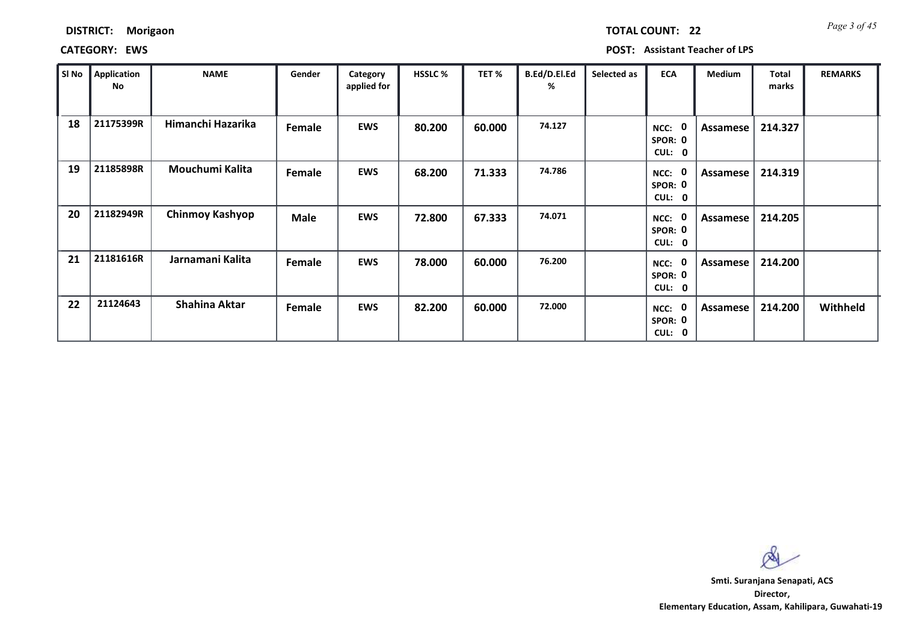*Page 3 of 45* **TOTAL COUNT: 22**

**CATEGORY: EWS POST: Assistant Teacher of LPS**

| SI No | <b>Application</b><br>No | <b>NAME</b>          | Gender      | Category<br>applied for | <b>HSSLC %</b> | TET %  | B.Ed/D.El.Ed<br>% | Selected as | <b>ECA</b>                | Medium   | <b>Total</b><br>marks | <b>REMARKS</b> |
|-------|--------------------------|----------------------|-------------|-------------------------|----------------|--------|-------------------|-------------|---------------------------|----------|-----------------------|----------------|
| 18    | 21175399R                | Himanchi Hazarika    | Female      | <b>EWS</b>              | 80.200         | 60.000 | 74.127            |             | NCC:<br>SPOR: 0<br>CUL: 0 | Assamese | 214.327               |                |
| 19    | 21185898R                | Mouchumi Kalita      | Female      | <b>EWS</b>              | 68.200         | 71.333 | 74.786            |             | NCC:<br>SPOR: 0<br>CUL: 0 | Assamese | 214.319               |                |
| 20    | 21182949R                | Chinmoy Kashyop      | <b>Male</b> | <b>EWS</b>              | 72.800         | 67.333 | 74.071            |             | NCC:<br>SPOR: 0<br>CUL: 0 | Assamese | 214.205               |                |
| 21    | 21181616R                | Jarnamani Kalita     | Female      | <b>EWS</b>              | 78.000         | 60.000 | 76.200            |             | NCC:<br>SPOR: 0<br>CUL: 0 | Assamese | 214.200               |                |
| 22    | 21124643                 | <b>Shahina Aktar</b> | Female      | <b>EWS</b>              | 82.200         | 60.000 | 72.000            |             | NCC:<br>SPOR: 0<br>CUL: 0 | Assamese | 214.200               | Withheld       |

 $\infty$ 

**Director, Elementary Education, Assam, Kahilipara, Guwahati-19 Smti. Suranjana Senapati, ACS**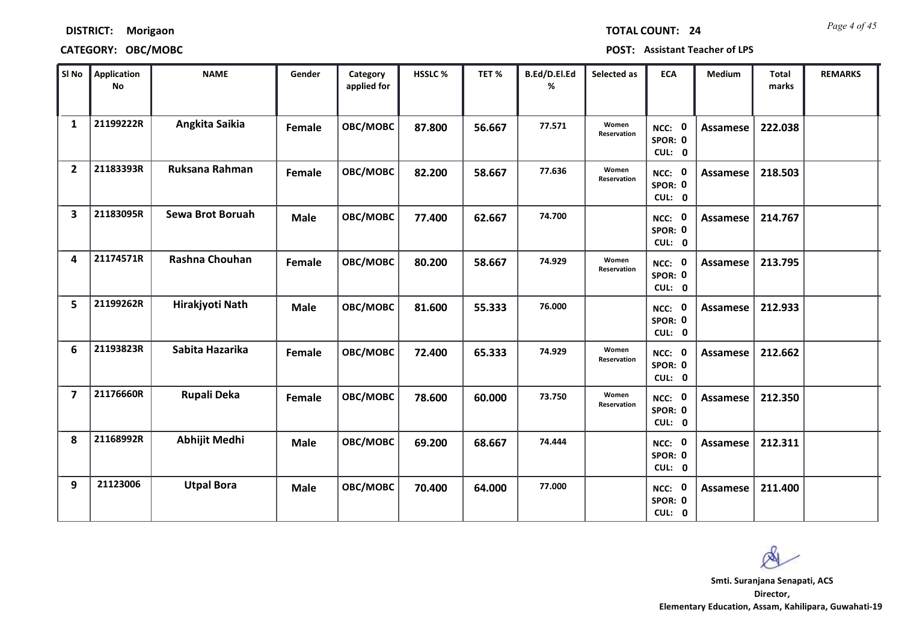| <b>DISTRICT:</b> | Morigaon |
|------------------|----------|
|------------------|----------|

# **CATEGORY: OBC/MOBC POST: Assistant Teacher of LPS**

*Page 4 of 45* **TOTAL COUNT: 24**

| SI <sub>No</sub>        | <b>Application</b><br><b>No</b> | <b>NAME</b>             | Gender      | Category<br>applied for | HSSLC % | TET %  | B.Ed/D.El.Ed<br>% | Selected as                 | <b>ECA</b>                     | Medium          | <b>Total</b><br>marks | <b>REMARKS</b> |
|-------------------------|---------------------------------|-------------------------|-------------|-------------------------|---------|--------|-------------------|-----------------------------|--------------------------------|-----------------|-----------------------|----------------|
| 1                       | 21199222R                       | Angkita Saikia          | Female      | OBC/MOBC                | 87.800  | 56.667 | 77.571            | Women<br>Reservation        | 0<br>NCC:<br>SPOR: 0<br>CUL: 0 | <b>Assamese</b> | 222.038               |                |
| $\overline{2}$          | 21183393R                       | Ruksana Rahman          | Female      | OBC/MOBC                | 82.200  | 58.667 | 77.636            | Women<br><b>Reservation</b> | NCC: 0<br>SPOR: 0<br>CUL: 0    | Assamese        | 218.503               |                |
| $\overline{\mathbf{3}}$ | 21183095R                       | <b>Sewa Brot Boruah</b> | <b>Male</b> | OBC/MOBC                | 77.400  | 62.667 | 74.700            |                             | NCC: 0<br>SPOR: 0<br>CUL: 0    | <b>Assamese</b> | 214.767               |                |
| 4                       | 21174571R                       | Rashna Chouhan          | Female      | OBC/MOBC                | 80.200  | 58.667 | 74.929            | Women<br>Reservation        | NCC: 0<br>SPOR: 0<br>CUL: 0    | Assamese        | 213.795               |                |
| 5                       | 21199262R                       | Hirakjyoti Nath         | <b>Male</b> | OBC/MOBC                | 81.600  | 55.333 | 76.000            |                             | NCC: 0<br>SPOR: 0<br>CUL: 0    | <b>Assamese</b> | 212.933               |                |
| 6                       | 21193823R                       | Sabita Hazarika         | Female      | OBC/MOBC                | 72.400  | 65.333 | 74.929            | Women<br>Reservation        | NCC: 0<br>SPOR: 0<br>CUL: 0    | Assamese        | 212.662               |                |
| $\overline{\mathbf{z}}$ | 21176660R                       | <b>Rupali Deka</b>      | Female      | OBC/MOBC                | 78.600  | 60.000 | 73.750            | Women<br>Reservation        | NCC: 0<br>SPOR: 0<br>CUL: 0    | <b>Assamese</b> | 212.350               |                |
| 8                       | 21168992R                       | <b>Abhijit Medhi</b>    | <b>Male</b> | OBC/MOBC                | 69.200  | 68.667 | 74.444            |                             | NCC: 0<br>SPOR: 0<br>CUL: 0    | <b>Assamese</b> | 212.311               |                |
| 9                       | 21123006                        | <b>Utpal Bora</b>       | <b>Male</b> | OBC/MOBC                | 70.400  | 64.000 | 77.000            |                             | NCC: 0<br>SPOR: 0<br>CUL: 0    | Assamese        | 211.400               |                |

 $\infty$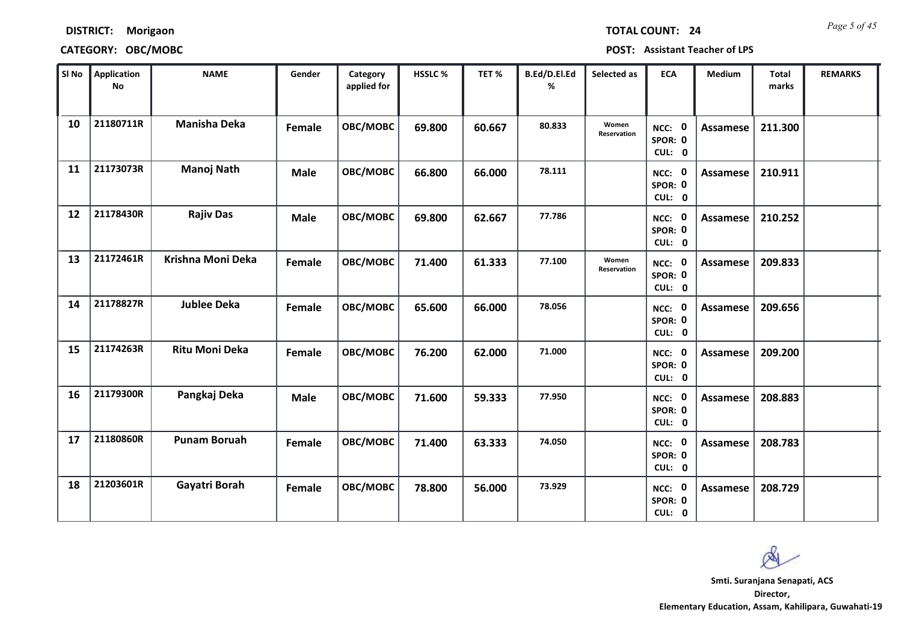|  | <b>TOTAL CO</b> |  |  |
|--|-----------------|--|--|
|  |                 |  |  |

**DISTRICT: Morigaon**

**CATEGORY: OBC/MOBC POST: Assistant Teacher of LPS**

| SI No | <b>Application</b><br>No | <b>NAME</b>           | Gender      | Category<br>applied for | <b>HSSLC%</b> | TET %  | B.Ed/D.El.Ed<br>% | Selected as          | <b>ECA</b>                  | <b>Medium</b>   | Total<br>marks | <b>REMARKS</b> |
|-------|--------------------------|-----------------------|-------------|-------------------------|---------------|--------|-------------------|----------------------|-----------------------------|-----------------|----------------|----------------|
| 10    | 21180711R                | <b>Manisha Deka</b>   | Female      | OBC/MOBC                | 69.800        | 60.667 | 80.833            | Women<br>Reservation | NCC: 0<br>SPOR: 0<br>CUL: 0 | Assamese        | 211.300        |                |
| 11    | 21173073R                | <b>Manoj Nath</b>     | <b>Male</b> | OBC/MOBC                | 66.800        | 66.000 | 78.111            |                      | NCC: 0<br>SPOR: 0<br>CUL: 0 | Assamese        | 210.911        |                |
| 12    | 21178430R                | <b>Rajiv Das</b>      | <b>Male</b> | OBC/MOBC                | 69.800        | 62.667 | 77.786            |                      | NCC: 0<br>SPOR: 0<br>CUL: 0 | Assamese        | 210.252        |                |
| 13    | 21172461R                | Krishna Moni Deka     | Female      | OBC/MOBC                | 71.400        | 61.333 | 77.100            | Women<br>Reservation | NCC: 0<br>SPOR: 0<br>CUL: 0 | Assamese        | 209.833        |                |
| 14    | 21178827R                | <b>Jublee Deka</b>    | Female      | OBC/MOBC                | 65.600        | 66.000 | 78.056            |                      | NCC: 0<br>SPOR: 0<br>CUL: 0 | <b>Assamese</b> | 209.656        |                |
| 15    | 21174263R                | <b>Ritu Moni Deka</b> | Female      | OBC/MOBC                | 76.200        | 62.000 | 71.000            |                      | NCC: 0<br>SPOR: 0<br>CUL: 0 | Assamese        | 209.200        |                |
| 16    | 21179300R                | Pangkaj Deka          | <b>Male</b> | OBC/MOBC                | 71.600        | 59.333 | 77.950            |                      | NCC: 0<br>SPOR: 0<br>CUL: 0 | <b>Assamese</b> | 208.883        |                |
| 17    | 21180860R                | <b>Punam Boruah</b>   | Female      | OBC/MOBC                | 71.400        | 63.333 | 74.050            |                      | NCC: 0<br>SPOR: 0<br>CUL: 0 | <b>Assamese</b> | 208.783        |                |
| 18    | 21203601R                | Gayatri Borah         | Female      | OBC/MOBC                | 78.800        | 56.000 | 73.929            |                      | NCC: 0<br>SPOR: 0<br>CUL: 0 | Assamese        | 208.729        |                |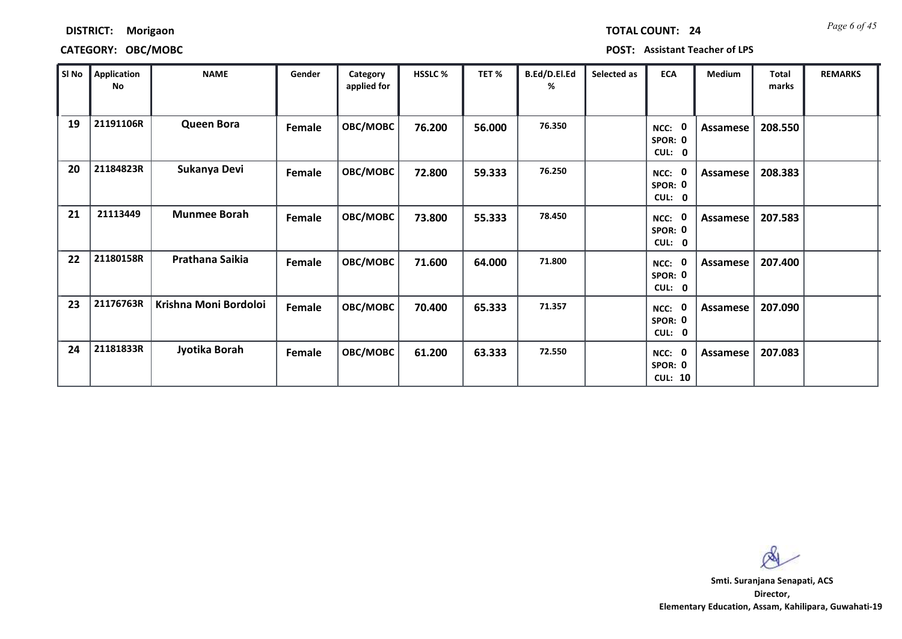|  | TOTAL COUNT: |  | 2 <sub>l</sub> |
|--|--------------|--|----------------|
|  |              |  |                |

### **DISTRICT: Morigaon**

### **CATEGORY: OBC/MOBC POST: Assistant Teacher of LPS**

| SI No | Application<br>No | <b>NAME</b>           | Gender | Category<br>applied for | <b>HSSLC %</b> | TET %  | B.Ed/D.El.Ed<br>% | Selected as | <b>ECA</b>                                            | <b>Medium</b> | <b>Total</b><br>marks | <b>REMARKS</b> |
|-------|-------------------|-----------------------|--------|-------------------------|----------------|--------|-------------------|-------------|-------------------------------------------------------|---------------|-----------------------|----------------|
| 19    | 21191106R         | <b>Queen Bora</b>     | Female | <b>OBC/MOBC</b>         | 76.200         | 56.000 | 76.350            |             | $\mathbf 0$<br>NCC:<br>SPOR: 0<br>CUL:<br>$\mathbf 0$ | Assamese      | 208.550               |                |
| 20    | 21184823R         | Sukanya Devi          | Female | OBC/MOBC                | 72.800         | 59.333 | 76.250            |             | $\mathbf{0}$<br>NCC:<br>SPOR: 0<br>CUL: 0             | Assamese      | 208.383               |                |
| 21    | 21113449          | <b>Munmee Borah</b>   | Female | OBC/MOBC                | 73.800         | 55.333 | 78.450            |             | $\mathbf 0$<br>NCC:<br>SPOR: 0<br>CUL: 0              | Assamese      | 207.583               |                |
| 22    | 21180158R         | Prathana Saikia       | Female | OBC/MOBC                | 71.600         | 64.000 | 71.800            |             | 0<br>NCC:<br>SPOR: 0<br>CUL: 0                        | Assamese      | 207.400               |                |
| 23    | 21176763R         | Krishna Moni Bordoloi | Female | OBC/MOBC                | 70.400         | 65.333 | 71.357            |             | $\mathbf 0$<br>NCC:<br>SPOR: 0<br>CUL: 0              | Assamese      | 207.090               |                |
| 24    | 21181833R         | Jyotika Borah         | Female | OBC/MOBC                | 61.200         | 63.333 | 72.550            |             | 0<br>NCC:<br>SPOR: 0<br><b>CUL: 10</b>                | Assamese      | 207.083               |                |

 $\infty$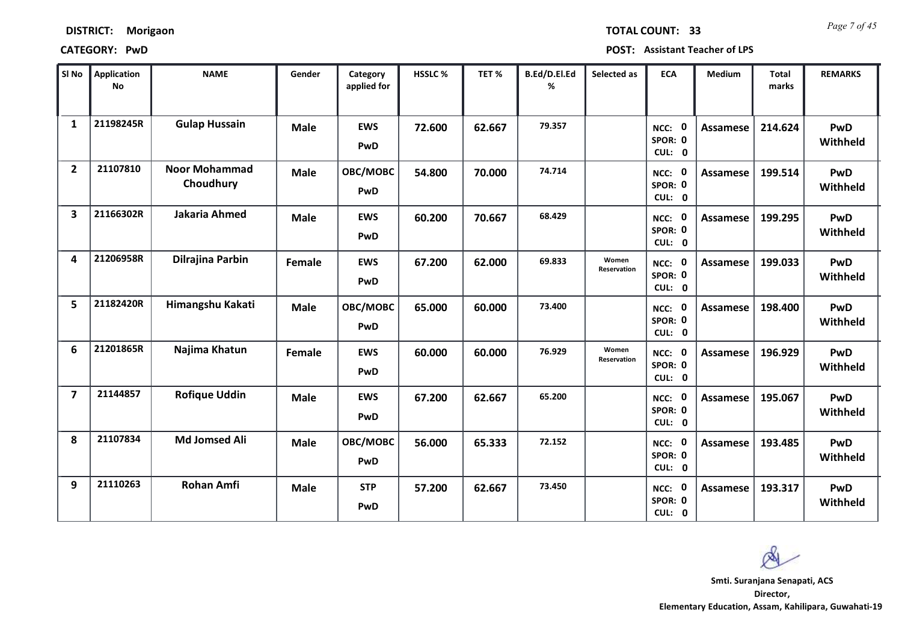*Page 7 of 45* **TOTAL COUNT: 33**

**CATEGORY: PwD POST: Assistant Teacher of LPS**

| SI No                   | <b>Application</b><br><b>No</b> | <b>NAME</b>                       | Gender      | Category<br>applied for | <b>HSSLC %</b> | TET %  | B.Ed/D.El.Ed<br>% | Selected as          | <b>ECA</b>                         | <b>Medium</b>   | <b>Total</b><br>marks | <b>REMARKS</b>  |
|-------------------------|---------------------------------|-----------------------------------|-------------|-------------------------|----------------|--------|-------------------|----------------------|------------------------------------|-----------------|-----------------------|-----------------|
| $\mathbf{1}$            | 21198245R                       | <b>Gulap Hussain</b>              | <b>Male</b> | <b>EWS</b><br>PwD       | 72.600         | 62.667 | 79.357            |                      | NCC: 0<br>SPOR: 0<br>CUL: 0        | <b>Assamese</b> | 214.624               | PwD<br>Withheld |
| $\overline{2}$          | 21107810                        | <b>Noor Mohammad</b><br>Choudhury | <b>Male</b> | OBC/MOBC<br>PwD         | 54.800         | 70.000 | 74.714            |                      | NCC: 0<br>SPOR: 0<br>CUL: 0        | Assamese        | 199.514               | PwD<br>Withheld |
| $\overline{\mathbf{3}}$ | 21166302R                       | <b>Jakaria Ahmed</b>              | <b>Male</b> | <b>EWS</b><br>PwD       | 60.200         | 70.667 | 68.429            |                      | <b>NCC: 0</b><br>SPOR: 0<br>CUL: 0 | Assamese        | 199.295               | PwD<br>Withheld |
| 4                       | 21206958R                       | Dilrajina Parbin                  | Female      | <b>EWS</b><br>PwD       | 67.200         | 62.000 | 69.833            | Women<br>Reservation | NCC: 0<br>SPOR: 0<br>CUL: 0        | Assamese        | 199.033               | PwD<br>Withheld |
| 5                       | 21182420R                       | Himangshu Kakati                  | <b>Male</b> | OBC/MOBC<br>PwD         | 65.000         | 60.000 | 73.400            |                      | NCC: 0<br>SPOR: 0<br>CUL: 0        | <b>Assamese</b> | 198.400               | PwD<br>Withheld |
| 6                       | 21201865R                       | Najima Khatun                     | Female      | <b>EWS</b><br>PwD       | 60.000         | 60.000 | 76.929            | Women<br>Reservation | NCC: 0<br>SPOR: 0<br>CUL: 0        | <b>Assamese</b> | 196.929               | PwD<br>Withheld |
| $\overline{7}$          | 21144857                        | <b>Rofique Uddin</b>              | <b>Male</b> | <b>EWS</b><br>PwD       | 67.200         | 62.667 | 65.200            |                      | NCC: 0<br>SPOR: 0<br>CUL: 0        | <b>Assamese</b> | 195.067               | PwD<br>Withheld |
| 8                       | 21107834                        | <b>Md Jomsed Ali</b>              | <b>Male</b> | OBC/MOBC<br>PwD         | 56.000         | 65.333 | 72.152            |                      | NCC: 0<br>SPOR: 0<br>CUL: 0        | <b>Assamese</b> | 193.485               | PwD<br>Withheld |
| 9                       | 21110263                        | <b>Rohan Amfi</b>                 | <b>Male</b> | <b>STP</b><br>PwD       | 57.200         | 62.667 | 73.450            |                      | NCC: 0<br>SPOR: 0<br>CUL: 0        | Assamese        | 193.317               | PwD<br>Withheld |

**Director, Smti. Suranjana Senapati, ACS**

Ø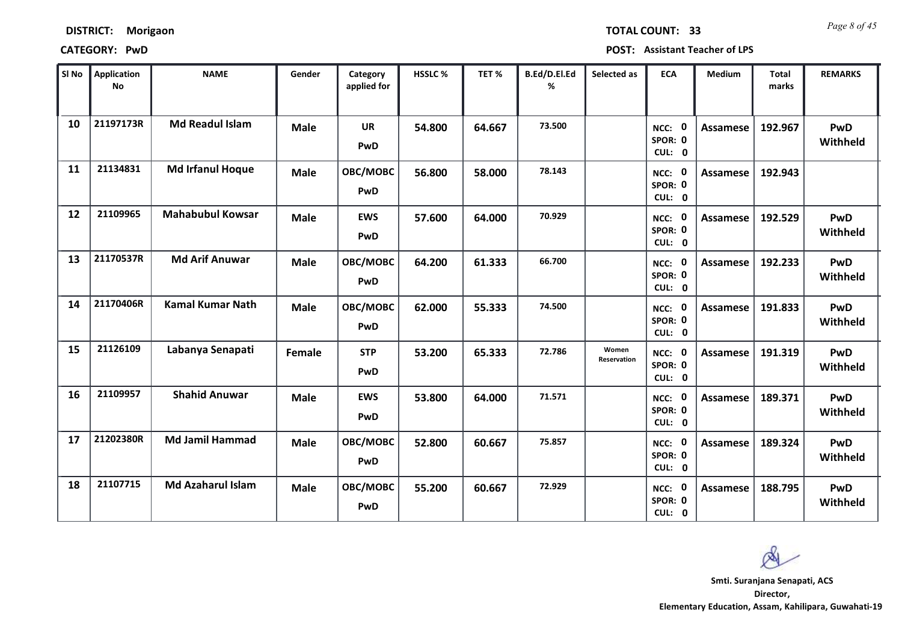| SI No | <b>Application</b><br><b>No</b> | <b>NAME</b>              | Gender      | Category<br>applied for | HSSLC% | TET%   | B.Ed/D.El.Ed<br>% | Selected as          | <b>ECA</b>                  | Medium          | <b>Total</b><br>marks | <b>REMARKS</b>         |
|-------|---------------------------------|--------------------------|-------------|-------------------------|--------|--------|-------------------|----------------------|-----------------------------|-----------------|-----------------------|------------------------|
| 10    | 21197173R                       | <b>Md Readul Islam</b>   | <b>Male</b> | UR<br>PwD               | 54.800 | 64.667 | 73.500            |                      | NCC: 0<br>SPOR: 0<br>CUL: 0 | <b>Assamese</b> | 192.967               | PwD<br>Withheld        |
| 11    | 21134831                        | <b>Md Irfanul Hoque</b>  | <b>Male</b> | OBC/MOBC<br>PwD         | 56.800 | 58.000 | 78.143            |                      | NCC: 0<br>SPOR: 0<br>CUL: 0 | Assamese        | 192.943               |                        |
| 12    | 21109965                        | <b>Mahabubul Kowsar</b>  | <b>Male</b> | <b>EWS</b><br>PwD       | 57.600 | 64.000 | 70.929            |                      | NCC: 0<br>SPOR: 0<br>CUL: 0 | <b>Assamese</b> | 192.529               | <b>PwD</b><br>Withheld |
| 13    | 21170537R                       | <b>Md Arif Anuwar</b>    | <b>Male</b> | OBC/MOBC<br>PwD         | 64.200 | 61.333 | 66.700            |                      | NCC: 0<br>SPOR: 0<br>CUL: 0 | <b>Assamese</b> | 192.233               | PwD<br>Withheld        |
| 14    | 21170406R                       | <b>Kamal Kumar Nath</b>  | <b>Male</b> | OBC/MOBC<br>PwD         | 62.000 | 55.333 | 74.500            |                      | NCC: 0<br>SPOR: 0<br>CUL: 0 | <b>Assamese</b> | 191.833               | PwD<br>Withheld        |
| 15    | 21126109                        | Labanya Senapati         | Female      | <b>STP</b><br>PwD       | 53.200 | 65.333 | 72.786            | Women<br>Reservation | NCC: 0<br>SPOR: 0<br>CUL: 0 | <b>Assamese</b> | 191.319               | PwD<br>Withheld        |
| 16    | 21109957                        | <b>Shahid Anuwar</b>     | <b>Male</b> | <b>EWS</b><br>PwD       | 53.800 | 64.000 | 71.571            |                      | NCC: 0<br>SPOR: 0<br>CUL: 0 | <b>Assamese</b> | 189.371               | PwD<br>Withheld        |
| 17    | 21202380R                       | <b>Md Jamil Hammad</b>   | <b>Male</b> | OBC/MOBC<br>PwD         | 52.800 | 60.667 | 75.857            |                      | NCC: 0<br>SPOR: 0<br>CUL: 0 | <b>Assamese</b> | 189.324               | PwD<br>Withheld        |
| 18    | 21107715                        | <b>Md Azaharul Islam</b> | <b>Male</b> | OBC/MOBC<br>PwD         | 55.200 | 60.667 | 72.929            |                      | NCC: 0<br>SPOR: 0<br>CUL: 0 | <b>Assamese</b> | 188.795               | PwD<br>Withheld        |

Ø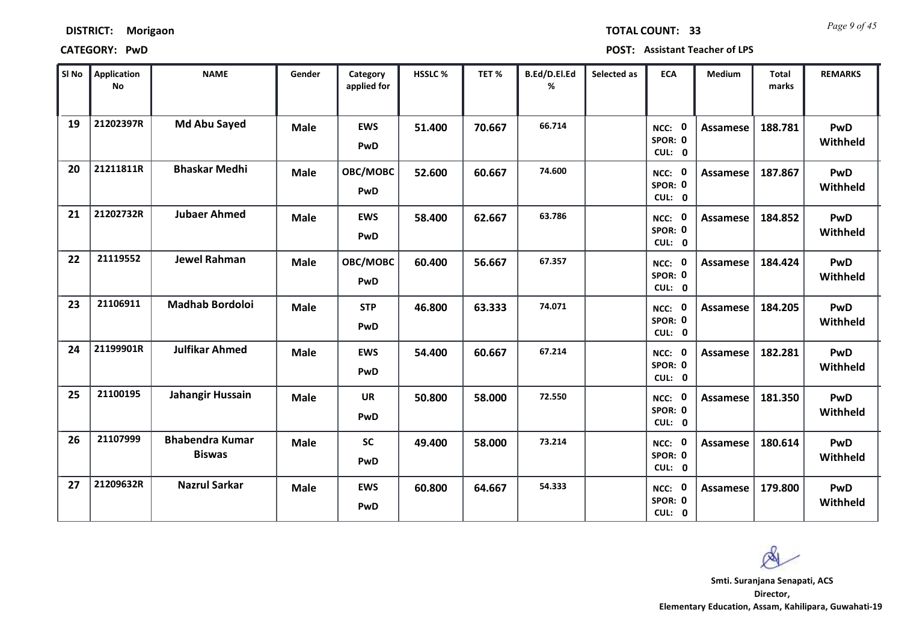*Page 9 of 45* **TOTAL COUNT: 33**

**CATEGORY: PwD POST: Assistant Teacher of LPS**

| SI <sub>No</sub> | Application<br><b>No</b> | <b>NAME</b>                             | Gender      | Category<br>applied for  | <b>HSSLC %</b> | TET %  | B.Ed/D.El.Ed<br>% | Selected as | <b>ECA</b>                     | <b>Medium</b>   | <b>Total</b><br>marks | <b>REMARKS</b>         |
|------------------|--------------------------|-----------------------------------------|-------------|--------------------------|----------------|--------|-------------------|-------------|--------------------------------|-----------------|-----------------------|------------------------|
| 19               | 21202397R                | <b>Md Abu Sayed</b>                     | <b>Male</b> | <b>EWS</b><br><b>PwD</b> | 51.400         | 70.667 | 66.714            |             | 0<br>NCC:<br>SPOR: 0<br>CUL: 0 | <b>Assamese</b> | 188.781               | <b>PwD</b><br>Withheld |
| 20               | 21211811R                | <b>Bhaskar Medhi</b>                    | <b>Male</b> | OBC/MOBC<br><b>PwD</b>   | 52.600         | 60.667 | 74.600            |             | NCC: 0<br>SPOR: 0<br>CUL: 0    | Assamese        | 187.867               | PwD<br>Withheld        |
| 21               | 21202732R                | <b>Jubaer Ahmed</b>                     | <b>Male</b> | <b>EWS</b><br>PwD        | 58.400         | 62.667 | 63.786            |             | NCC: 0<br>SPOR: 0<br>CUL: 0    | <b>Assamese</b> | 184.852               | PwD<br>Withheld        |
| 22               | 21119552                 | <b>Jewel Rahman</b>                     | <b>Male</b> | OBC/MOBC<br><b>PwD</b>   | 60.400         | 56.667 | 67.357            |             | 0<br>NCC:<br>SPOR: 0<br>CUL: 0 | Assamese        | 184.424               | PwD<br>Withheld        |
| 23               | 21106911                 | <b>Madhab Bordoloi</b>                  | <b>Male</b> | <b>STP</b><br>PwD        | 46.800         | 63.333 | 74.071            |             | NCC: 0<br>SPOR: 0<br>CUL: 0    | <b>Assamese</b> | 184.205               | PwD<br>Withheld        |
| 24               | 21199901R                | <b>Julfikar Ahmed</b>                   | <b>Male</b> | <b>EWS</b><br>PwD        | 54.400         | 60.667 | 67.214            |             | NCC: 0<br>SPOR: 0<br>CUL: 0    | <b>Assamese</b> | 182.281               | PwD<br>Withheld        |
| 25               | 21100195                 | Jahangir Hussain                        | <b>Male</b> | <b>UR</b><br>PwD         | 50.800         | 58.000 | 72.550            |             | NCC: 0<br>SPOR: 0<br>CUL: 0    | Assamese        | 181.350               | PwD<br>Withheld        |
| 26               | 21107999                 | <b>Bhabendra Kumar</b><br><b>Biswas</b> | <b>Male</b> | <b>SC</b><br>PwD         | 49.400         | 58.000 | 73.214            |             | NCC: 0<br>SPOR: 0<br>CUL: 0    | <b>Assamese</b> | 180.614               | PwD<br>Withheld        |
| 27               | 21209632R                | <b>Nazrul Sarkar</b>                    | <b>Male</b> | <b>EWS</b><br><b>PwD</b> | 60.800         | 64.667 | 54.333            |             | NCC: 0<br>SPOR: 0<br>CUL: 0    | Assamese        | 179.800               | PwD<br>Withheld        |

**Director, Elementary Education, Assam, Kahilipara, Guwahati-19 Smti. Suranjana Senapati, ACS**

Ø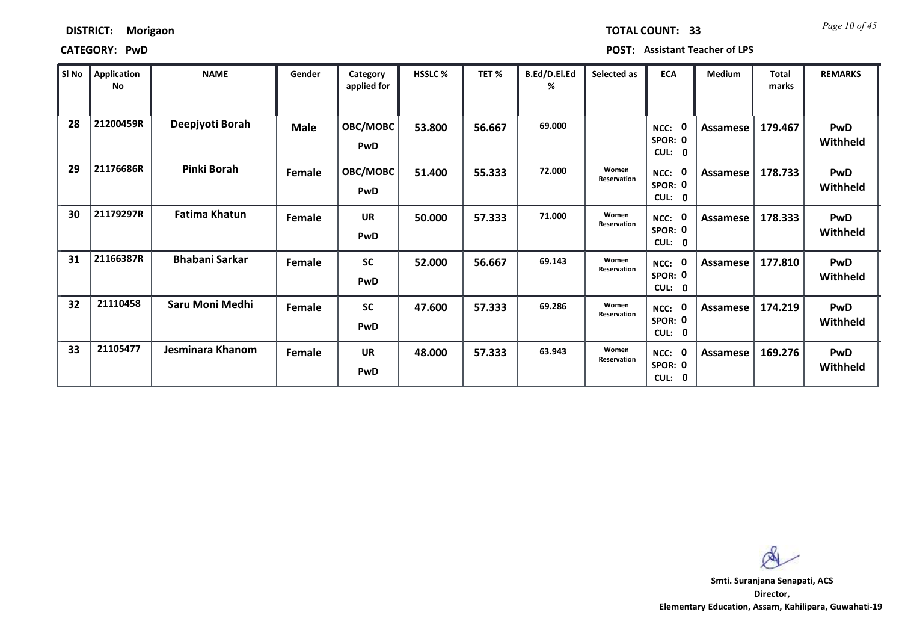### **CATEGORY: PwD POST: Assistant Teacher of LPS**

| l SI No | Application<br>No | <b>NAME</b>            | Gender | Category<br>applied for | <b>HSSLC %</b> | TET %  | B.Ed/D.El.Ed<br>% | Selected as          | <b>ECA</b>                                  | Medium          | <b>Total</b><br>marks | <b>REMARKS</b>         |
|---------|-------------------|------------------------|--------|-------------------------|----------------|--------|-------------------|----------------------|---------------------------------------------|-----------------|-----------------------|------------------------|
| 28      | 21200459R         | Deepjyoti Borah        | Male   | OBC/MOBC<br><b>PwD</b>  | 53.800         | 56.667 | 69.000            |                      | 0<br>NCC:<br>SPOR: 0<br>CUL:<br>0           | Assamese        | 179.467               | <b>PwD</b><br>Withheld |
| 29      | 21176686R         | Pinki Borah            | Female | <b>OBC/MOBC</b><br>PwD  | 51.400         | 55.333 | 72.000            | Women<br>Reservation | 0<br>NCC:<br>SPOR: 0<br>CUL:<br>0           | <b>Assamese</b> | 178.733               | <b>PwD</b><br>Withheld |
| 30      | 21179297R         | <b>Fatima Khatun</b>   | Female | <b>UR</b><br>PwD        | 50.000         | 57.333 | 71.000            | Women<br>Reservation | 0<br>NCC:<br>SPOR: 0<br>CUL:<br>$\mathbf 0$ | Assamese        | 178.333               | <b>PwD</b><br>Withheld |
| 31      | 21166387R         | <b>Bhabani Sarkar</b>  | Female | <b>SC</b><br>PwD        | 52.000         | 56.667 | 69.143            | Women<br>Reservation | 0<br>NCC:<br>SPOR: 0<br>CUL:<br>0           | Assamese        | 177.810               | <b>PwD</b><br>Withheld |
| 32      | 21110458          | <b>Saru Moni Medhi</b> | Female | <b>SC</b><br>PwD        | 47.600         | 57.333 | 69.286            | Women<br>Reservation | $\mathbf 0$<br>NCC:<br>SPOR: 0<br>CUL:<br>0 | Assamese        | 174.219               | <b>PwD</b><br>Withheld |
| 33      | 21105477          | Jesminara Khanom       | Female | <b>UR</b><br><b>PwD</b> | 48.000         | 57.333 | 63.943            | Women<br>Reservation | 0<br>NCC:<br>SPOR: 0<br>CUL: 0              | Assamese        | 169.276               | <b>PwD</b><br>Withheld |

 $\mathcal{R}$ 

**Director, Elementary Education, Assam, Kahilipara, Guwahati-19 Smti. Suranjana Senapati, ACS**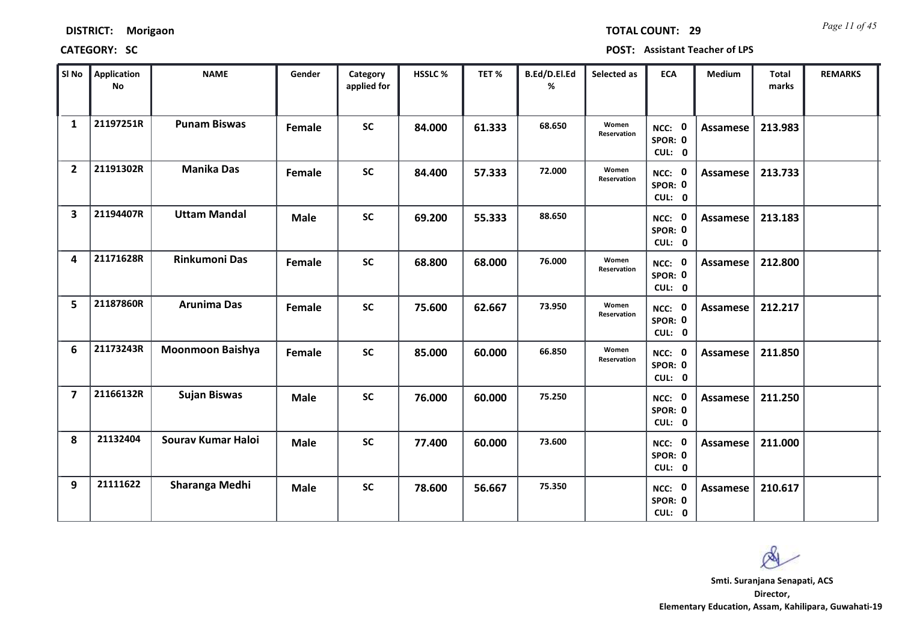*Page 11 of 45* **TOTAL COUNT: 29**

| SI <sub>No</sub>        | Application<br>No | <b>NAME</b>             | Gender      | Category<br>applied for | <b>HSSLC %</b> | TET %  | B.Ed/D.El.Ed<br>% | Selected as                 | <b>ECA</b>                  | <b>Medium</b>   | Total<br>marks | <b>REMARKS</b> |
|-------------------------|-------------------|-------------------------|-------------|-------------------------|----------------|--------|-------------------|-----------------------------|-----------------------------|-----------------|----------------|----------------|
| $\mathbf{1}$            | 21197251R         | <b>Punam Biswas</b>     | Female      | <b>SC</b>               | 84.000         | 61.333 | 68.650            | Women<br><b>Reservation</b> | NCC: 0<br>SPOR: 0<br>CUL: 0 | Assamese        | 213.983        |                |
| $\overline{2}$          | 21191302R         | <b>Manika Das</b>       | Female      | <b>SC</b>               | 84.400         | 57.333 | 72.000            | Women<br>Reservation        | NCC: 0<br>SPOR: 0<br>CUL: 0 | Assamese        | 213.733        |                |
| $\overline{\mathbf{3}}$ | 21194407R         | <b>Uttam Mandal</b>     | <b>Male</b> | <b>SC</b>               | 69.200         | 55.333 | 88.650            |                             | NCC: 0<br>SPOR: 0<br>CUL: 0 | <b>Assamese</b> | 213.183        |                |
| 4                       | 21171628R         | <b>Rinkumoni Das</b>    | Female      | <b>SC</b>               | 68.800         | 68.000 | 76.000            | Women<br>Reservation        | NCC: 0<br>SPOR: 0<br>CUL: 0 | Assamese        | 212.800        |                |
| 5                       | 21187860R         | <b>Arunima Das</b>      | Female      | <b>SC</b>               | 75.600         | 62.667 | 73.950            | Women<br>Reservation        | NCC: 0<br>SPOR: 0<br>CUL: 0 | Assamese        | 212.217        |                |
| 6                       | 21173243R         | <b>Moonmoon Baishya</b> | Female      | <b>SC</b>               | 85.000         | 60.000 | 66.850            | Women<br>Reservation        | NCC: 0<br>SPOR: 0<br>CUL: 0 | Assamese        | 211.850        |                |
| $\overline{7}$          | 21166132R         | <b>Sujan Biswas</b>     | <b>Male</b> | <b>SC</b>               | 76.000         | 60.000 | 75.250            |                             | NCC: 0<br>SPOR: 0<br>CUL: 0 | <b>Assamese</b> | 211.250        |                |
| 8                       | 21132404          | Sourav Kumar Haloi      | <b>Male</b> | <b>SC</b>               | 77.400         | 60.000 | 73.600            |                             | NCC: 0<br>SPOR: 0<br>CUL: 0 | <b>Assamese</b> | 211.000        |                |
| 9                       | 21111622          | Sharanga Medhi          | <b>Male</b> | <b>SC</b>               | 78.600         | 56.667 | 75.350            |                             | NCC: 0<br>SPOR: 0<br>CUL: 0 | Assamese        | 210.617        |                |

 $\infty$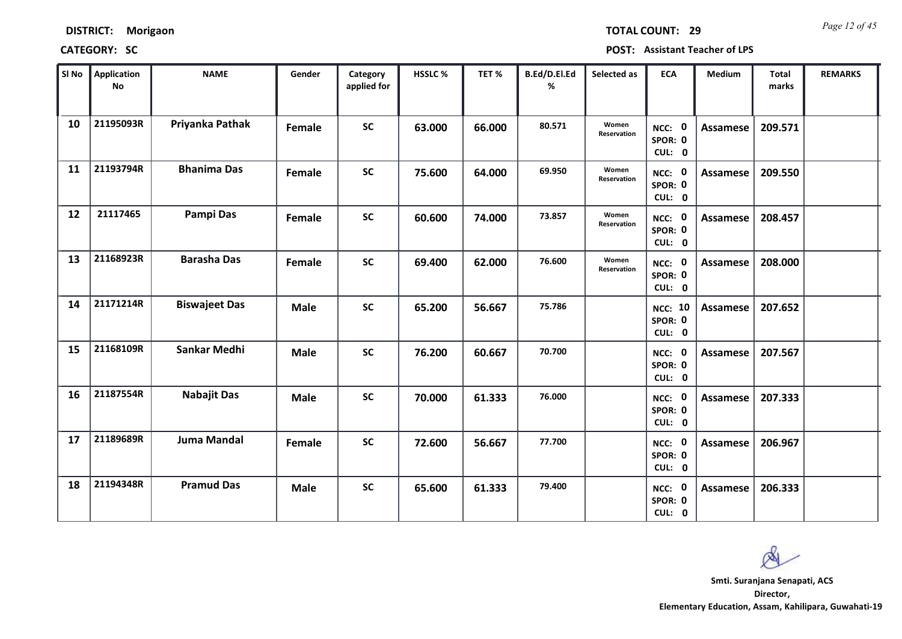*Page 12 of 45* **TOTAL COUNT: 29**

| SI No | <b>Application</b><br>No | <b>NAME</b>          | Gender      | Category<br>applied for | <b>HSSLC%</b> | TET %  | B.Ed/D.El.Ed<br>% | Selected as          | <b>ECA</b>                          | <b>Medium</b>   | <b>Total</b><br>marks | <b>REMARKS</b> |
|-------|--------------------------|----------------------|-------------|-------------------------|---------------|--------|-------------------|----------------------|-------------------------------------|-----------------|-----------------------|----------------|
| 10    | 21195093R                | Priyanka Pathak      | Female      | <b>SC</b>               | 63.000        | 66.000 | 80.571            | Women<br>Reservation | NCC: 0<br>SPOR: 0<br>CUL: 0         | Assamese        | 209.571               |                |
| 11    | 21193794R                | <b>Bhanima Das</b>   | Female      | <b>SC</b>               | 75.600        | 64.000 | 69.950            | Women<br>Reservation | NCC: 0<br>SPOR: 0<br>CUL: 0         | Assamese        | 209.550               |                |
| 12    | 21117465                 | Pampi Das            | Female      | <b>SC</b>               | 60.600        | 74.000 | 73.857            | Women<br>Reservation | NCC: 0<br>SPOR: 0<br>CUL: 0         | <b>Assamese</b> | 208.457               |                |
| 13    | 21168923R                | <b>Barasha Das</b>   | Female      | <b>SC</b>               | 69.400        | 62.000 | 76.600            | Women<br>Reservation | NCC: 0<br>SPOR: 0<br>CUL: 0         | Assamese        | 208.000               |                |
| 14    | 21171214R                | <b>Biswajeet Das</b> | <b>Male</b> | <b>SC</b>               | 65.200        | 56.667 | 75.786            |                      | <b>NCC: 10</b><br>SPOR: 0<br>CUL: 0 | Assamese        | 207.652               |                |
| 15    | 21168109R                | <b>Sankar Medhi</b>  | <b>Male</b> | <b>SC</b>               | 76.200        | 60.667 | 70.700            |                      | NCC: 0<br>SPOR: 0<br>CUL: 0         | Assamese        | 207.567               |                |
| 16    | 21187554R                | <b>Nabajit Das</b>   | <b>Male</b> | <b>SC</b>               | 70.000        | 61.333 | 76.000            |                      | NCC: 0<br>SPOR: 0<br>CUL: 0         | Assamese        | 207.333               |                |
| 17    | 21189689R                | <b>Juma Mandal</b>   | Female      | <b>SC</b>               | 72.600        | 56.667 | 77.700            |                      | NCC: 0<br>SPOR: 0<br>CUL: 0         | <b>Assamese</b> | 206.967               |                |
| 18    | 21194348R                | <b>Pramud Das</b>    | <b>Male</b> | <b>SC</b>               | 65.600        | 61.333 | 79.400            |                      | NCC: 0<br>SPOR: 0<br>CUL: 0         | Assamese        | 206.333               |                |

 $\infty$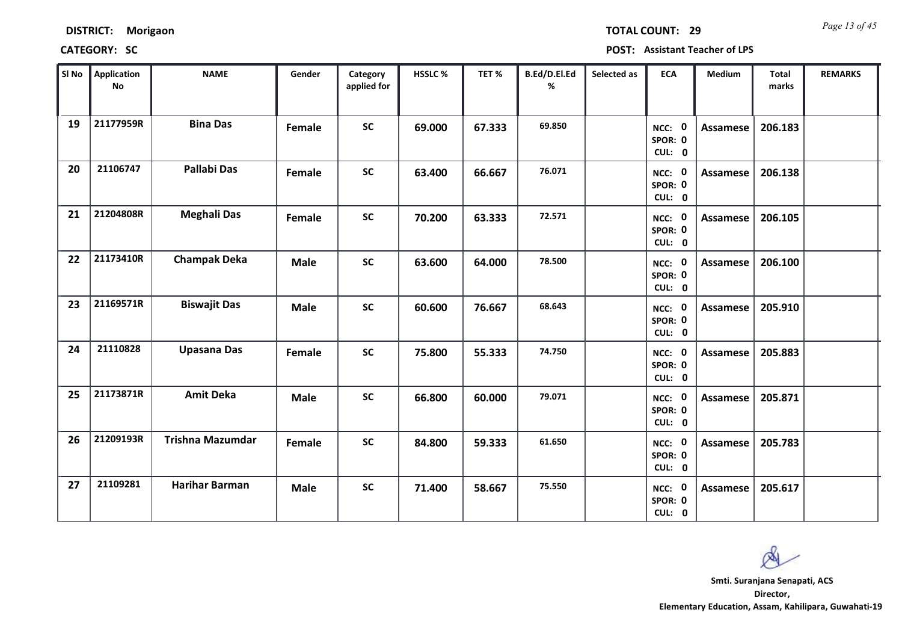| <b>DISTRICT:</b> | Morigaon |
|------------------|----------|
|------------------|----------|

*Page 13 of 45* **TOTAL COUNT: 29**

**CATEGORY: SC POST: Assistant Teacher of LPS**

| SI No | Application<br>No | <b>NAME</b>             | Gender      | Category<br>applied for | HSSLC % | TET%   | B.Ed/D.El.Ed<br>% | Selected as | <b>ECA</b>                  | <b>Medium</b>   | <b>Total</b><br>marks | <b>REMARKS</b> |
|-------|-------------------|-------------------------|-------------|-------------------------|---------|--------|-------------------|-------------|-----------------------------|-----------------|-----------------------|----------------|
| 19    | 21177959R         | <b>Bina Das</b>         | Female      | <b>SC</b>               | 69.000  | 67.333 | 69.850            |             | NCC: 0<br>SPOR: 0<br>CUL: 0 | <b>Assamese</b> | 206.183               |                |
| 20    | 21106747          | <b>Pallabi Das</b>      | Female      | <b>SC</b>               | 63.400  | 66.667 | 76.071            |             | NCC: 0<br>SPOR: 0<br>CUL: 0 | Assamese        | 206.138               |                |
| 21    | 21204808R         | <b>Meghali Das</b>      | Female      | <b>SC</b>               | 70.200  | 63.333 | 72.571            |             | NCC: 0<br>SPOR: 0<br>CUL: 0 | <b>Assamese</b> | 206.105               |                |
| 22    | 21173410R         | <b>Champak Deka</b>     | <b>Male</b> | <b>SC</b>               | 63.600  | 64.000 | 78.500            |             | NCC: 0<br>SPOR: 0<br>CUL: 0 | <b>Assamese</b> | 206.100               |                |
| 23    | 21169571R         | <b>Biswajit Das</b>     | <b>Male</b> | <b>SC</b>               | 60.600  | 76.667 | 68.643            |             | NCC: 0<br>SPOR: 0<br>CUL: 0 | Assamese        | 205.910               |                |
| 24    | 21110828          | <b>Upasana Das</b>      | Female      | <b>SC</b>               | 75.800  | 55.333 | 74.750            |             | NCC: 0<br>SPOR: 0<br>CUL: 0 | Assamese        | 205.883               |                |
| 25    | 21173871R         | <b>Amit Deka</b>        | <b>Male</b> | <b>SC</b>               | 66.800  | 60.000 | 79.071            |             | NCC: 0<br>SPOR: 0<br>CUL: 0 | Assamese        | 205.871               |                |
| 26    | 21209193R         | <b>Trishna Mazumdar</b> | Female      | <b>SC</b>               | 84.800  | 59.333 | 61.650            |             | NCC: 0<br>SPOR: 0<br>CUL: 0 | <b>Assamese</b> | 205.783               |                |
| 27    | 21109281          | <b>Harihar Barman</b>   | <b>Male</b> | <b>SC</b>               | 71.400  | 58.667 | 75.550            |             | NCC: 0<br>SPOR: 0<br>CUL: 0 | Assamese        | 205.617               |                |

**Director, Elementary Education, Assam, Kahilipara, Guwahati-19 Smti. Suranjana Senapati, ACS**

 $\alpha$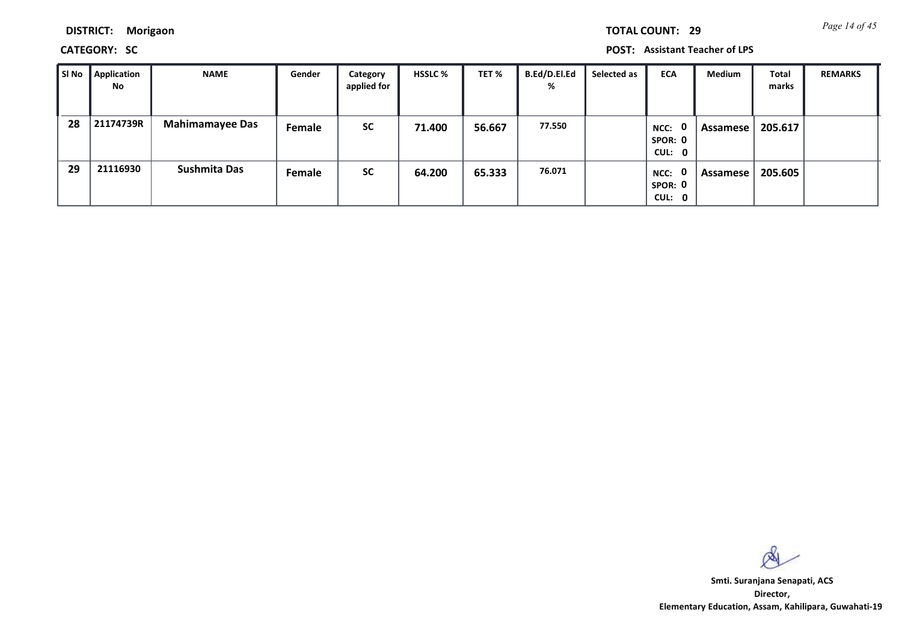**DISTRICT: Morigaon**

### **CATEGORY: SC POST: Assistant Teacher of LPS**

| SI No | Application<br>No | <b>NAME</b>            | Gender | Category<br>applied for | <b>HSSLC %</b> | TET %  | <b>B.Ed/D.El.Ed</b><br>% | Selected as | <b>ECA</b>                                | Medium   | <b>Total</b><br>marks | <b>REMARKS</b> |
|-------|-------------------|------------------------|--------|-------------------------|----------------|--------|--------------------------|-------------|-------------------------------------------|----------|-----------------------|----------------|
| 28    | 21174739R         | <b>Mahimamayee Das</b> | Female | <b>SC</b>               | 71.400         | 56.667 | 77.550                   |             | $\mathbf 0$<br>NCC:<br>SPOR: 0<br>CUL: 0  | Assamese | 205.617               |                |
| 29    | 21116930          | <b>Sushmita Das</b>    | Female | <b>SC</b>               | 64.200         | 65.333 | 76.071                   |             | $\mathbf{0}$<br>NCC:<br>SPOR: 0<br>CUL: 0 | Assamese | 205.605               |                |

 $\infty$ 

**Director, Elementary Education, Assam, Kahilipara, Guwahati-19 Smti. Suranjana Senapati, ACS**

*Page 14 of 45* **TOTAL COUNT: 29**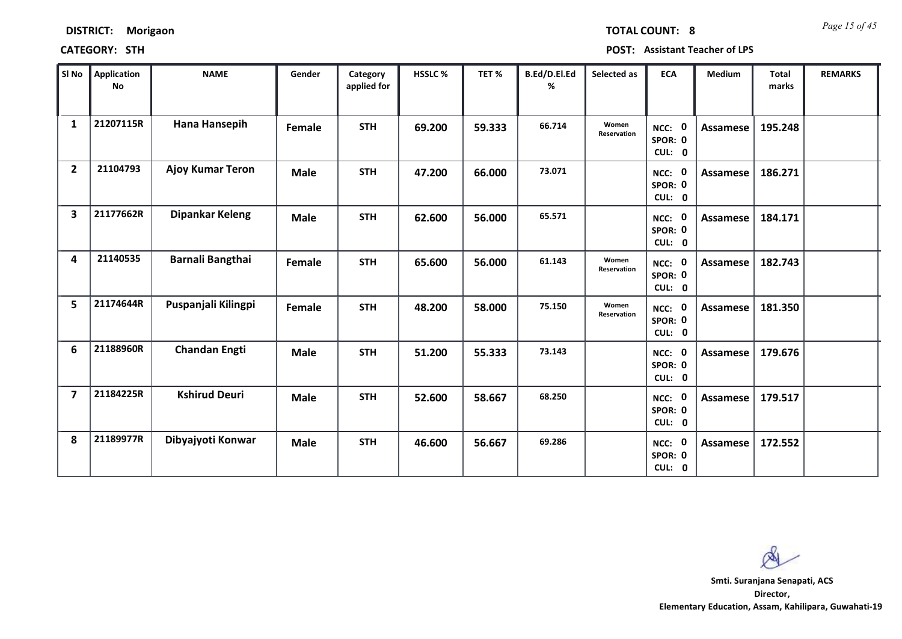| Sl No                   | Application<br>No | <b>NAME</b>             | Gender      | Category<br>applied for | HSSLC % | TET %  | B.Ed/D.El.Ed<br>% | Selected as          | <b>ECA</b>                  | Medium          | <b>Total</b><br>marks | <b>REMARKS</b> |
|-------------------------|-------------------|-------------------------|-------------|-------------------------|---------|--------|-------------------|----------------------|-----------------------------|-----------------|-----------------------|----------------|
| $\mathbf{1}$            | 21207115R         | Hana Hansepih           | Female      | <b>STH</b>              | 69.200  | 59.333 | 66.714            | Women<br>Reservation | NCC: 0<br>SPOR: 0<br>CUL: 0 | <b>Assamese</b> | 195.248               |                |
| $\overline{2}$          | 21104793          | <b>Ajoy Kumar Teron</b> | <b>Male</b> | <b>STH</b>              | 47.200  | 66.000 | 73.071            |                      | NCC: 0<br>SPOR: 0<br>CUL: 0 | <b>Assamese</b> | 186.271               |                |
| $\overline{\mathbf{3}}$ | 21177662R         | <b>Dipankar Keleng</b>  | <b>Male</b> | <b>STH</b>              | 62.600  | 56.000 | 65.571            |                      | NCC: 0<br>SPOR: 0<br>CUL: 0 | Assamese        | 184.171               |                |
| 4                       | 21140535          | <b>Barnali Bangthai</b> | Female      | <b>STH</b>              | 65.600  | 56.000 | 61.143            | Women<br>Reservation | NCC: 0<br>SPOR: 0<br>CUL: 0 | <b>Assamese</b> | 182.743               |                |
| 5                       | 21174644R         | Puspanjali Kilingpi     | Female      | <b>STH</b>              | 48.200  | 58.000 | 75.150            | Women<br>Reservation | NCC: 0<br>SPOR: 0<br>CUL: 0 | <b>Assamese</b> | 181.350               |                |
| 6                       | 21188960R         | <b>Chandan Engti</b>    | <b>Male</b> | <b>STH</b>              | 51.200  | 55.333 | 73.143            |                      | NCC: 0<br>SPOR: 0<br>CUL: 0 | Assamese        | 179.676               |                |
| $\overline{\mathbf{z}}$ | 21184225R         | <b>Kshirud Deuri</b>    | <b>Male</b> | <b>STH</b>              | 52.600  | 58.667 | 68.250            |                      | NCC: 0<br>SPOR: 0<br>CUL: 0 | Assamese        | 179.517               |                |
| 8                       | 21189977R         | Dibyajyoti Konwar       | <b>Male</b> | <b>STH</b>              | 46.600  | 56.667 | 69.286            |                      | NCC: 0<br>SPOR: 0<br>CUL: 0 | <b>Assamese</b> | 172.552               |                |

**CATEGORY: STH POST: Assistant Teacher of LPS**

**DISTRICT: Morigaon**

*Page 15 of 45* **TOTAL COUNT: 8**

**Director, Elementary Education, Assam, Kahilipara, Guwahati-19 Smti. Suranjana Senapati, ACS**

 $\infty$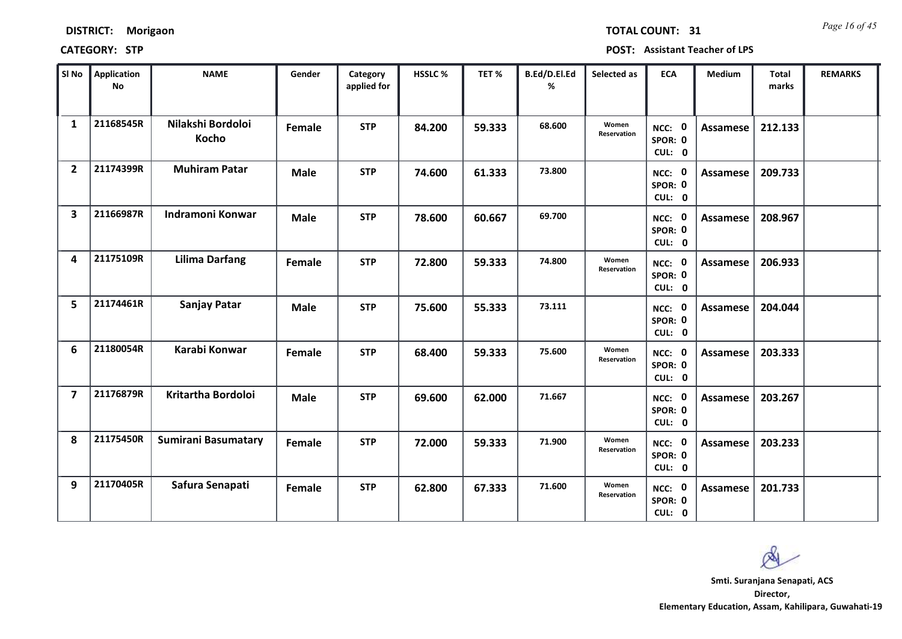*Page 16 of 45* **TOTAL COUNT: 31**

| SI No                   | <b>Application</b><br><b>No</b> | <b>NAME</b>                | Gender      | Category<br>applied for | <b>HSSLC%</b> | TET %  | B.Ed/D.El.Ed<br>% | Selected as          | <b>ECA</b>                  | <b>Medium</b>   | <b>Total</b><br>marks | <b>REMARKS</b> |
|-------------------------|---------------------------------|----------------------------|-------------|-------------------------|---------------|--------|-------------------|----------------------|-----------------------------|-----------------|-----------------------|----------------|
| $\mathbf{1}$            | 21168545R                       | Nilakshi Bordoloi<br>Kocho | Female      | <b>STP</b>              | 84.200        | 59.333 | 68.600            | Women<br>Reservation | NCC: 0<br>SPOR: 0<br>CUL: 0 | Assamese        | 212.133               |                |
| $\overline{2}$          | 21174399R                       | <b>Muhiram Patar</b>       | <b>Male</b> | <b>STP</b>              | 74.600        | 61.333 | 73.800            |                      | NCC: 0<br>SPOR: 0<br>CUL: 0 | Assamese        | 209.733               |                |
| $\overline{\mathbf{3}}$ | 21166987R                       | Indramoni Konwar           | <b>Male</b> | <b>STP</b>              | 78.600        | 60.667 | 69.700            |                      | NCC: 0<br>SPOR: 0<br>CUL: 0 | Assamese        | 208.967               |                |
| 4                       | 21175109R                       | <b>Lilima Darfang</b>      | Female      | <b>STP</b>              | 72.800        | 59.333 | 74.800            | Women<br>Reservation | NCC: 0<br>SPOR: 0<br>CUL: 0 | Assamese        | 206.933               |                |
| 5                       | 21174461R                       | Sanjay Patar               | <b>Male</b> | <b>STP</b>              | 75.600        | 55.333 | 73.111            |                      | NCC: 0<br>SPOR: 0<br>CUL: 0 | Assamese        | 204.044               |                |
| 6                       | 21180054R                       | Karabi Konwar              | Female      | <b>STP</b>              | 68.400        | 59.333 | 75.600            | Women<br>Reservation | NCC: 0<br>SPOR: 0<br>CUL: 0 | <b>Assamese</b> | 203.333               |                |
| $\overline{7}$          | 21176879R                       | Kritartha Bordoloi         | <b>Male</b> | <b>STP</b>              | 69.600        | 62.000 | 71.667            |                      | NCC: 0<br>SPOR: 0<br>CUL: 0 | Assamese        | 203.267               |                |
| 8                       | 21175450R                       | <b>Sumirani Basumatary</b> | Female      | <b>STP</b>              | 72.000        | 59.333 | 71.900            | Women<br>Reservation | NCC: 0<br>SPOR: 0<br>CUL: 0 | Assamese        | 203.233               |                |
| 9                       | 21170405R                       | Safura Senapati            | Female      | <b>STP</b>              | 62.800        | 67.333 | 71.600            | Women<br>Reservation | NCC: 0<br>SPOR: 0<br>CUL: 0 | Assamese        | 201.733               |                |

Ø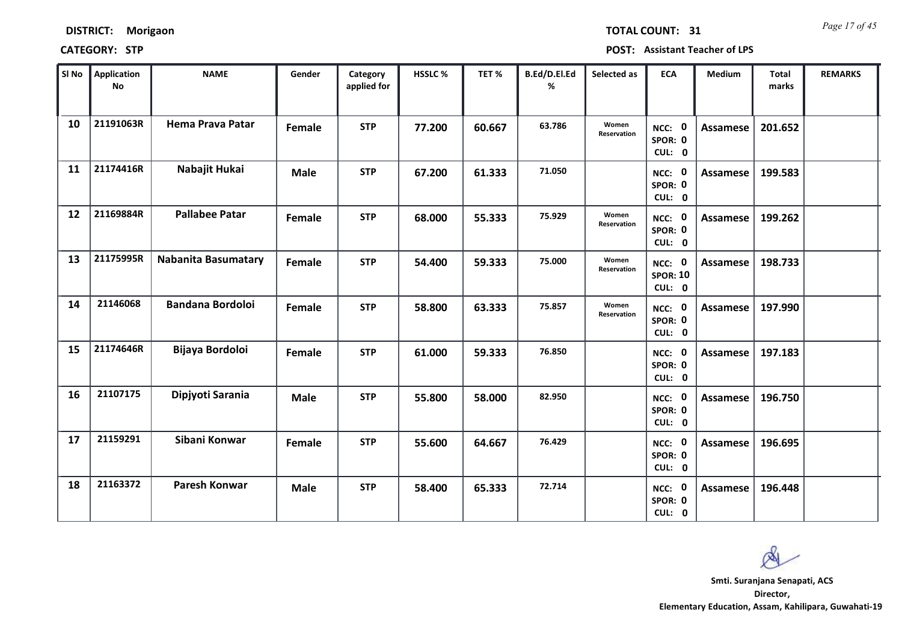*Page 17 of 45* **TOTAL COUNT: 31**

| SI No | Application<br><b>No</b> | <b>NAME</b>                | Gender      | Category<br>applied for | <b>HSSLC %</b> | TET %  | B.Ed/D.El.Ed<br>% | Selected as          | <b>ECA</b>                                        | Medium          | Total<br>marks | <b>REMARKS</b> |
|-------|--------------------------|----------------------------|-------------|-------------------------|----------------|--------|-------------------|----------------------|---------------------------------------------------|-----------------|----------------|----------------|
| 10    | 21191063R                | <b>Hema Prava Patar</b>    | Female      | <b>STP</b>              | 77.200         | 60.667 | 63.786            | Women<br>Reservation | NCC: 0<br>SPOR: 0<br>CUL: 0                       | <b>Assamese</b> | 201.652        |                |
| 11    | 21174416R                | Nabajit Hukai              | <b>Male</b> | <b>STP</b>              | 67.200         | 61.333 | 71.050            |                      | NCC: 0<br>SPOR: 0<br>CUL: 0                       | Assamese        | 199.583        |                |
| 12    | 21169884R                | <b>Pallabee Patar</b>      | Female      | <b>STP</b>              | 68.000         | 55.333 | 75.929            | Women<br>Reservation | NCC: 0<br>SPOR: 0<br>CUL: 0                       | <b>Assamese</b> | 199.262        |                |
| 13    | 21175995R                | <b>Nabanita Basumatary</b> | Female      | <b>STP</b>              | 54.400         | 59.333 | 75.000            | Women<br>Reservation | $\mathbf{0}$<br>NCC:<br><b>SPOR: 10</b><br>CUL: 0 | Assamese        | 198.733        |                |
| 14    | 21146068                 | <b>Bandana Bordoloi</b>    | Female      | <b>STP</b>              | 58.800         | 63.333 | 75.857            | Women<br>Reservation | NCC: 0<br>SPOR: 0<br>CUL: 0                       | Assamese        | 197.990        |                |
| 15    | 21174646R                | Bijaya Bordoloi            | Female      | <b>STP</b>              | 61.000         | 59.333 | 76.850            |                      | NCC: 0<br>SPOR: 0<br>CUL: 0                       | <b>Assamese</b> | 197.183        |                |
| 16    | 21107175                 | Dipjyoti Sarania           | <b>Male</b> | <b>STP</b>              | 55.800         | 58.000 | 82.950            |                      | NCC: 0<br>SPOR: 0<br>CUL: 0                       | <b>Assamese</b> | 196.750        |                |
| 17    | 21159291                 | Sibani Konwar              | Female      | <b>STP</b>              | 55.600         | 64.667 | 76.429            |                      | NCC: 0<br>SPOR: 0<br>CUL: 0                       | <b>Assamese</b> | 196.695        |                |
| 18    | 21163372                 | <b>Paresh Konwar</b>       | <b>Male</b> | <b>STP</b>              | 58.400         | 65.333 | 72.714            |                      | NCC: 0<br>SPOR: 0<br>CUL: 0                       | Assamese        | 196.448        |                |

 $\infty$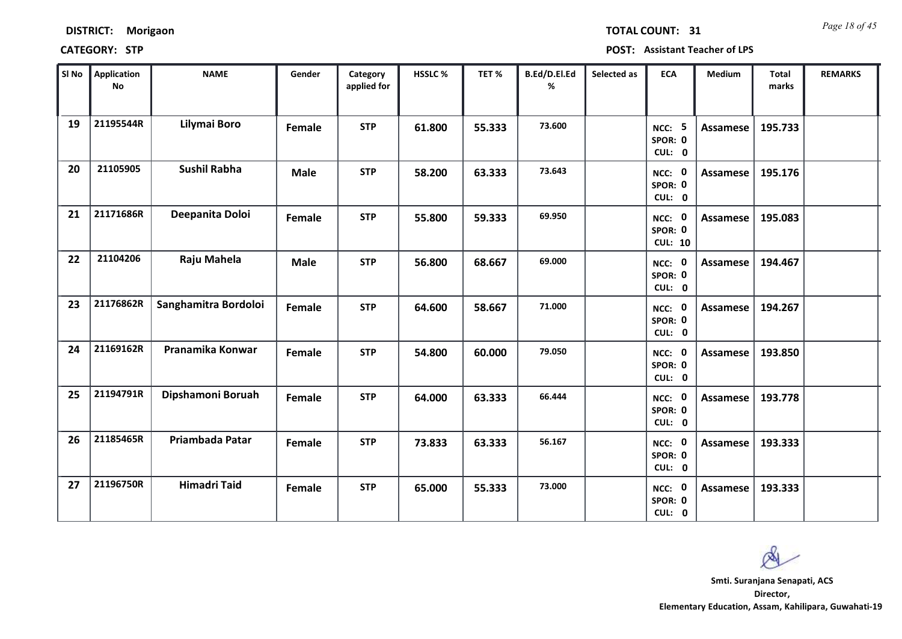|  | <b>DISTRICT:</b> | Morigaon |
|--|------------------|----------|
|--|------------------|----------|

*Page 18 of 45* **TOTAL COUNT: 31**

**CATEGORY: STP POST: Assistant Teacher of LPS**

| SI No | Application<br><b>No</b> | <b>NAME</b>          | Gender      | Category<br>applied for | HSSLC % | TET %  | B.Ed/D.El.Ed<br>% | Selected as | <b>ECA</b>                               | <b>Medium</b>   | <b>Total</b><br>marks | <b>REMARKS</b> |
|-------|--------------------------|----------------------|-------------|-------------------------|---------|--------|-------------------|-------------|------------------------------------------|-----------------|-----------------------|----------------|
| 19    | 21195544R                | Lilymai Boro         | Female      | <b>STP</b>              | 61.800  | 55.333 | 73.600            |             | <b>NCC: 5</b><br>SPOR: 0<br>CUL: 0       | Assamese        | 195.733               |                |
| 20    | 21105905                 | <b>Sushil Rabha</b>  | <b>Male</b> | <b>STP</b>              | 58.200  | 63.333 | 73.643            |             | NCC: 0<br>SPOR: 0<br>CUL: 0              | Assamese        | 195.176               |                |
| 21    | 21171686R                | Deepanita Doloi      | Female      | <b>STP</b>              | 55.800  | 59.333 | 69.950            |             | NCC: 0<br>SPOR: 0<br><b>CUL: 10</b>      | <b>Assamese</b> | 195.083               |                |
| 22    | 21104206                 | Raju Mahela          | <b>Male</b> | <b>STP</b>              | 56.800  | 68.667 | 69.000            |             | $\mathbf 0$<br>NCC:<br>SPOR: 0<br>CUL: 0 | <b>Assamese</b> | 194.467               |                |
| 23    | 21176862R                | Sanghamitra Bordoloi | Female      | <b>STP</b>              | 64.600  | 58.667 | 71.000            |             | NCC: 0<br>SPOR: 0<br>CUL: 0              | Assamese        | 194.267               |                |
| 24    | 21169162R                | Pranamika Konwar     | Female      | <b>STP</b>              | 54.800  | 60.000 | 79.050            |             | NCC: 0<br>SPOR: 0<br>CUL: 0              | Assamese        | 193.850               |                |
| 25    | 21194791R                | Dipshamoni Boruah    | Female      | <b>STP</b>              | 64.000  | 63.333 | 66.444            |             | NCC: 0<br>SPOR: 0<br>CUL: 0              | <b>Assamese</b> | 193.778               |                |
| 26    | 21185465R                | Priambada Patar      | Female      | <b>STP</b>              | 73.833  | 63.333 | 56.167            |             | NCC: 0<br>SPOR: 0<br>CUL: 0              | <b>Assamese</b> | 193.333               |                |
| 27    | 21196750R                | <b>Himadri Taid</b>  | Female      | <b>STP</b>              | 65.000  | 55.333 | 73.000            |             | NCC: 0<br>SPOR: 0<br>CUL: 0              | Assamese        | 193.333               |                |

 $\infty$ 

**Director, Elementary Education, Assam, Kahilipara, Guwahati-19 Smti. Suranjana Senapati, ACS**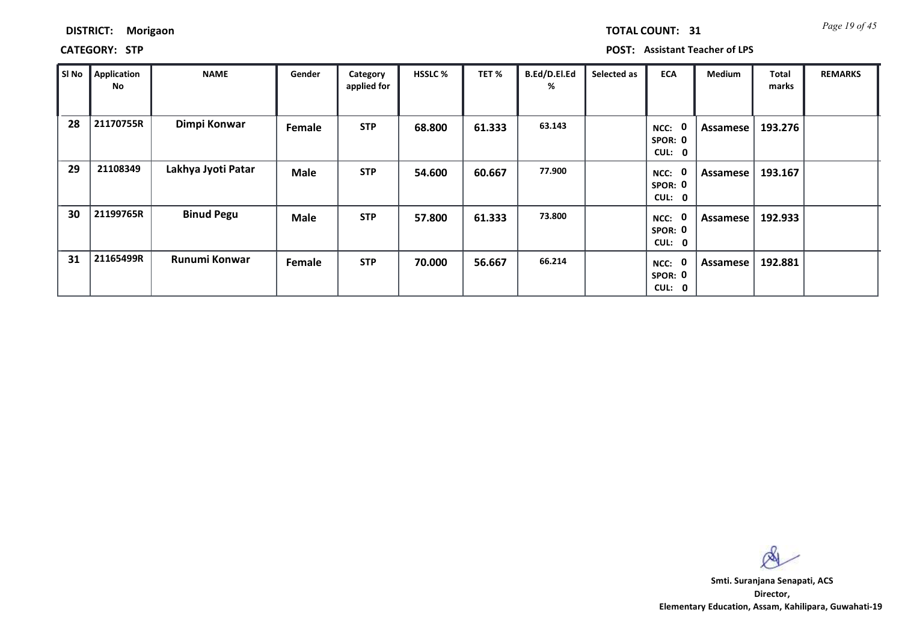| <b>DISTRICT:</b> | Morigaon |
|------------------|----------|
|------------------|----------|

**CATEGORY: STP POST: Assistant Teacher of LPS**

| SI No | Application<br>No | <b>NAME</b>        | Gender      | Category<br>applied for | <b>HSSLC %</b> | TET %  | B.Ed/D.El.Ed<br>% | Selected as | <b>ECA</b>                | Medium   | <b>Total</b><br>marks | <b>REMARKS</b> |
|-------|-------------------|--------------------|-------------|-------------------------|----------------|--------|-------------------|-------------|---------------------------|----------|-----------------------|----------------|
| 28    | 21170755R         | Dimpi Konwar       | Female      | <b>STP</b>              | 68.800         | 61.333 | 63.143            |             | NCC:<br>SPOR: 0<br>CUL: 0 | Assamese | 193.276               |                |
| 29    | 21108349          | Lakhya Jyoti Patar | <b>Male</b> | <b>STP</b>              | 54.600         | 60.667 | 77.900            |             | NCC:<br>SPOR: 0<br>CUL: 0 | Assamese | 193.167               |                |
| 30    | 21199765R         | <b>Binud Pegu</b>  | <b>Male</b> | <b>STP</b>              | 57.800         | 61.333 | 73.800            |             | NCC:<br>SPOR: 0<br>CUL: 0 | Assamese | 192.933               |                |
| 31    | 21165499R         | Runumi Konwar      | Female      | <b>STP</b>              | 70.000         | 56.667 | 66.214            |             | NCC:<br>SPOR: 0<br>CUL: 0 | Assamese | 192.881               |                |

 $\infty$ 

**Director, Elementary Education, Assam, Kahilipara, Guwahati-19 Smti. Suranjana Senapati, ACS**

*Page 19 of 45* **TOTAL COUNT: 31**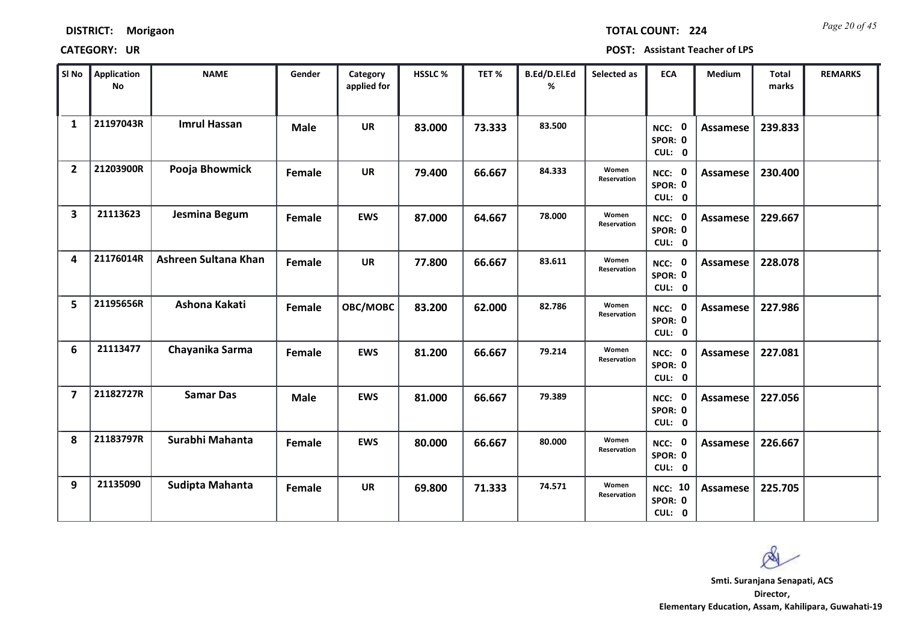|  | <b>DISTRICT:</b> |  | <b>Morigaon</b> |
|--|------------------|--|-----------------|
|--|------------------|--|-----------------|

*Page 20 of 45* **TOTAL COUNT: 224**

| SI No                   | <b>Application</b><br><b>No</b> | <b>NAME</b>          | Gender      | Category<br>applied for | <b>HSSLC %</b> | TET %  | B.Ed/D.El.Ed<br>% | Selected as          | <b>ECA</b>                          | <b>Medium</b>   | <b>Total</b><br>marks | <b>REMARKS</b> |
|-------------------------|---------------------------------|----------------------|-------------|-------------------------|----------------|--------|-------------------|----------------------|-------------------------------------|-----------------|-----------------------|----------------|
| $\mathbf{1}$            | 21197043R                       | <b>Imrul Hassan</b>  | <b>Male</b> | <b>UR</b>               | 83.000         | 73.333 | 83.500            |                      | NCC: 0<br>SPOR: 0<br>CUL: 0         | <b>Assamese</b> | 239.833               |                |
| $\overline{2}$          | 21203900R                       | Pooja Bhowmick       | Female      | <b>UR</b>               | 79.400         | 66.667 | 84.333            | Women<br>Reservation | NCC: 0<br>SPOR: 0<br>CUL: 0         | Assamese        | 230.400               |                |
| $\overline{\mathbf{3}}$ | 21113623                        | Jesmina Begum        | Female      | <b>EWS</b>              | 87.000         | 64.667 | 78.000            | Women<br>Reservation | NCC: 0<br>SPOR: 0<br>CUL: 0         | Assamese        | 229.667               |                |
| 4                       | 21176014R                       | Ashreen Sultana Khan | Female      | <b>UR</b>               | 77.800         | 66.667 | 83.611            | Women<br>Reservation | NCC: 0<br>SPOR: 0<br>CUL: 0         | <b>Assamese</b> | 228.078               |                |
| 5                       | 21195656R                       | Ashona Kakati        | Female      | OBC/MOBC                | 83.200         | 62.000 | 82.786            | Women<br>Reservation | NCC: 0<br>SPOR: 0<br>CUL: 0         | <b>Assamese</b> | 227.986               |                |
| 6                       | 21113477                        | Chayanika Sarma      | Female      | <b>EWS</b>              | 81.200         | 66.667 | 79.214            | Women<br>Reservation | NCC: 0<br>SPOR: 0<br>CUL: 0         | <b>Assamese</b> | 227.081               |                |
| $\overline{7}$          | 21182727R                       | <b>Samar Das</b>     | <b>Male</b> | <b>EWS</b>              | 81.000         | 66.667 | 79.389            |                      | NCC: 0<br>SPOR: 0<br>CUL: 0         | Assamese        | 227.056               |                |
| 8                       | 21183797R                       | Surabhi Mahanta      | Female      | <b>EWS</b>              | 80.000         | 66.667 | 80.000            | Women<br>Reservation | NCC: 0<br>SPOR: 0<br>CUL: 0         | Assamese        | 226.667               |                |
| 9                       | 21135090                        | Sudipta Mahanta      | Female      | <b>UR</b>               | 69.800         | 71.333 | 74.571            | Women<br>Reservation | <b>NCC: 10</b><br>SPOR: 0<br>CUL: 0 | Assamese        | 225.705               |                |

 $\infty$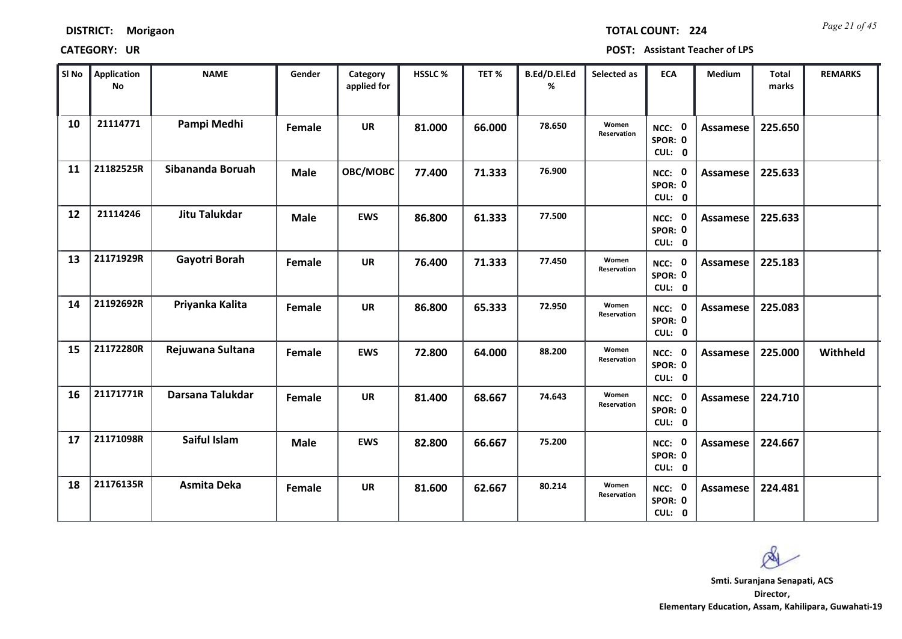*Page 21 of 45* **TOTAL COUNT: 224**

| SI No | <b>Application</b><br>No | <b>NAME</b>          | Gender      | Category<br>applied for | HSSLC % | TET%   | B.Ed/D.El.Ed<br>% | Selected as          | <b>ECA</b>                  | <b>Medium</b>   | <b>Total</b><br>marks | <b>REMARKS</b> |
|-------|--------------------------|----------------------|-------------|-------------------------|---------|--------|-------------------|----------------------|-----------------------------|-----------------|-----------------------|----------------|
| 10    | 21114771                 | Pampi Medhi          | Female      | <b>UR</b>               | 81.000  | 66.000 | 78.650            | Women<br>Reservation | NCC: 0<br>SPOR: 0<br>CUL: 0 | Assamese        | 225.650               |                |
| 11    | 21182525R                | Sibananda Boruah     | <b>Male</b> | OBC/MOBC                | 77.400  | 71.333 | 76.900            |                      | NCC: 0<br>SPOR: 0<br>CUL: 0 | Assamese        | 225.633               |                |
| 12    | 21114246                 | <b>Jitu Talukdar</b> | <b>Male</b> | <b>EWS</b>              | 86.800  | 61.333 | 77.500            |                      | NCC: 0<br>SPOR: 0<br>CUL: 0 | Assamese        | 225.633               |                |
| 13    | 21171929R                | Gayotri Borah        | Female      | <b>UR</b>               | 76.400  | 71.333 | 77.450            | Women<br>Reservation | NCC: 0<br>SPOR: 0<br>CUL: 0 | Assamese        | 225.183               |                |
| 14    | 21192692R                | Priyanka Kalita      | Female      | <b>UR</b>               | 86.800  | 65.333 | 72.950            | Women<br>Reservation | NCC: 0<br>SPOR: 0<br>CUL: 0 | Assamese        | 225.083               |                |
| 15    | 21172280R                | Rejuwana Sultana     | Female      | <b>EWS</b>              | 72.800  | 64.000 | 88.200            | Women<br>Reservation | NCC: 0<br>SPOR: 0<br>CUL: 0 | <b>Assamese</b> | 225.000               | Withheld       |
| 16    | 21171771R                | Darsana Talukdar     | Female      | <b>UR</b>               | 81.400  | 68.667 | 74.643            | Women<br>Reservation | NCC: 0<br>SPOR: 0<br>CUL: 0 | Assamese        | 224.710               |                |
| 17    | 21171098R                | Saiful Islam         | <b>Male</b> | <b>EWS</b>              | 82.800  | 66.667 | 75.200            |                      | NCC: 0<br>SPOR: 0<br>CUL: 0 | <b>Assamese</b> | 224.667               |                |
| 18    | 21176135R                | Asmita Deka          | Female      | <b>UR</b>               | 81.600  | 62.667 | 80.214            | Women<br>Reservation | NCC: 0<br>SPOR: 0<br>CUL: 0 | Assamese        | 224.481               |                |

 $\infty$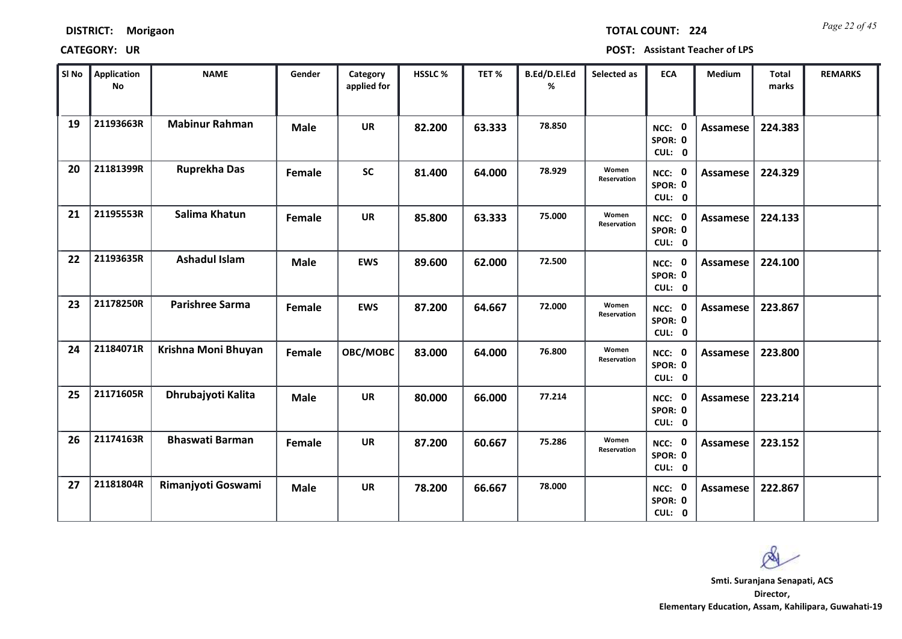| <b>DISTRICT:</b> | Morigaon |
|------------------|----------|
|------------------|----------|

*Page 22 of 45* **TOTAL COUNT: 224**

| SI No | Application<br>No | <b>NAME</b>            | Gender      | Category<br>applied for | <b>HSSLC %</b> | TET %  | B.Ed/D.El.Ed<br>% | Selected as          | <b>ECA</b>                  | <b>Medium</b>   | <b>Total</b><br>marks | <b>REMARKS</b> |
|-------|-------------------|------------------------|-------------|-------------------------|----------------|--------|-------------------|----------------------|-----------------------------|-----------------|-----------------------|----------------|
| 19    | 21193663R         | <b>Mabinur Rahman</b>  | <b>Male</b> | <b>UR</b>               | 82.200         | 63.333 | 78.850            |                      | NCC: 0<br>SPOR: 0<br>CUL: 0 | Assamese        | 224.383               |                |
| 20    | 21181399R         | <b>Ruprekha Das</b>    | Female      | <b>SC</b>               | 81.400         | 64.000 | 78.929            | Women<br>Reservation | NCC: 0<br>SPOR: 0<br>CUL: 0 | Assamese        | 224.329               |                |
| 21    | 21195553R         | Salima Khatun          | Female      | <b>UR</b>               | 85.800         | 63.333 | 75.000            | Women<br>Reservation | NCC: 0<br>SPOR: 0<br>CUL: 0 | <b>Assamese</b> | 224.133               |                |
| 22    | 21193635R         | <b>Ashadul Islam</b>   | <b>Male</b> | <b>EWS</b>              | 89.600         | 62.000 | 72.500            |                      | NCC: 0<br>SPOR: 0<br>CUL: 0 | Assamese        | 224.100               |                |
| 23    | 21178250R         | <b>Parishree Sarma</b> | Female      | <b>EWS</b>              | 87.200         | 64.667 | 72.000            | Women<br>Reservation | NCC: 0<br>SPOR: 0<br>CUL: 0 | Assamese        | 223.867               |                |
| 24    | 21184071R         | Krishna Moni Bhuyan    | Female      | OBC/MOBC                | 83.000         | 64.000 | 76.800            | Women<br>Reservation | NCC: 0<br>SPOR: 0<br>CUL: 0 | Assamese        | 223.800               |                |
| 25    | 21171605R         | Dhrubajyoti Kalita     | <b>Male</b> | <b>UR</b>               | 80.000         | 66.000 | 77.214            |                      | NCC: 0<br>SPOR: 0<br>CUL: 0 | Assamese        | 223.214               |                |
| 26    | 21174163R         | <b>Bhaswati Barman</b> | Female      | <b>UR</b>               | 87.200         | 60.667 | 75.286            | Women<br>Reservation | NCC: 0<br>SPOR: 0<br>CUL: 0 | Assamese        | 223.152               |                |
| 27    | 21181804R         | Rimanjyoti Goswami     | <b>Male</b> | <b>UR</b>               | 78.200         | 66.667 | 78.000            |                      | NCC: 0<br>SPOR: 0<br>CUL: 0 | Assamese        | 222.867               |                |

 $\infty$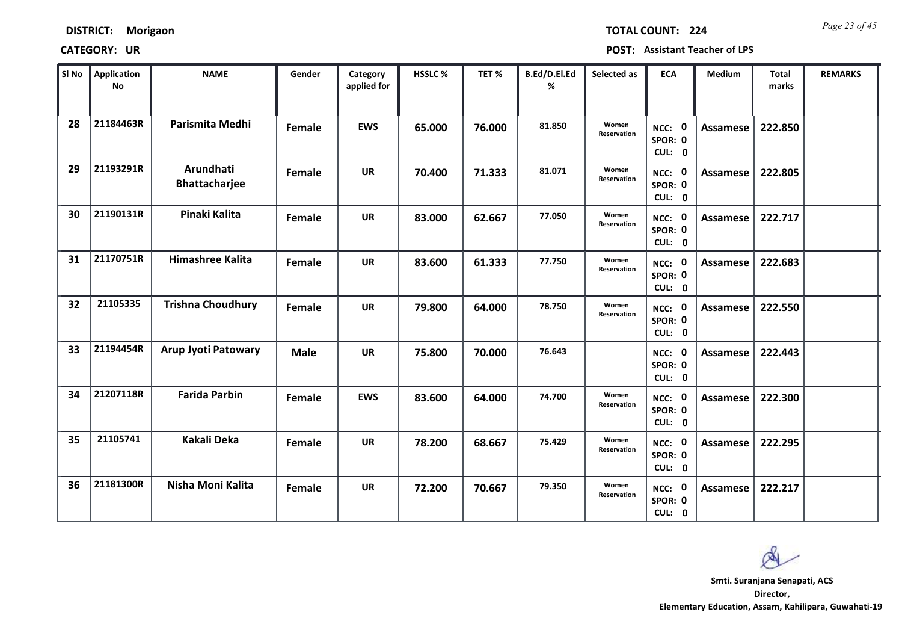| <b>DISTRICT:</b> | Morigaon |
|------------------|----------|
|------------------|----------|

*Page 23 of 45* **TOTAL COUNT: 224**

| SI No | <b>Application</b><br><b>No</b> | <b>NAME</b>                | Gender      | Category<br>applied for | HSSLC % | TET %  | B.Ed/D.El.Ed<br>% | Selected as          | <b>ECA</b>                  | Medium          | <b>Total</b><br>marks | <b>REMARKS</b> |
|-------|---------------------------------|----------------------------|-------------|-------------------------|---------|--------|-------------------|----------------------|-----------------------------|-----------------|-----------------------|----------------|
| 28    | 21184463R                       | Parismita Medhi            | Female      | <b>EWS</b>              | 65.000  | 76.000 | 81.850            | Women<br>Reservation | NCC: 0<br>SPOR: 0<br>CUL: 0 | <b>Assamese</b> | 222.850               |                |
| 29    | 21193291R                       | Arundhati<br>Bhattacharjee | Female      | <b>UR</b>               | 70.400  | 71.333 | 81.071            | Women<br>Reservation | NCC: 0<br>SPOR: 0<br>CUL: 0 | Assamese        | 222.805               |                |
| 30    | 21190131R                       | Pinaki Kalita              | Female      | <b>UR</b>               | 83.000  | 62.667 | 77.050            | Women<br>Reservation | NCC: 0<br>SPOR: 0<br>CUL: 0 | Assamese        | 222.717               |                |
| 31    | 21170751R                       | Himashree Kalita           | Female      | <b>UR</b>               | 83.600  | 61.333 | 77.750            | Women<br>Reservation | NCC: 0<br>SPOR: 0<br>CUL: 0 | Assamese        | 222.683               |                |
| 32    | 21105335                        | <b>Trishna Choudhury</b>   | Female      | <b>UR</b>               | 79.800  | 64.000 | 78.750            | Women<br>Reservation | NCC: 0<br>SPOR: 0<br>CUL: 0 | <b>Assamese</b> | 222.550               |                |
| 33    | 21194454R                       | Arup Jyoti Patowary        | <b>Male</b> | <b>UR</b>               | 75.800  | 70.000 | 76.643            |                      | NCC: 0<br>SPOR: 0<br>CUL: 0 | <b>Assamese</b> | 222.443               |                |
| 34    | 21207118R                       | <b>Farida Parbin</b>       | Female      | <b>EWS</b>              | 83.600  | 64.000 | 74.700            | Women<br>Reservation | NCC: 0<br>SPOR: 0<br>CUL: 0 | Assamese        | 222.300               |                |
| 35    | 21105741                        | <b>Kakali Deka</b>         | Female      | <b>UR</b>               | 78.200  | 68.667 | 75.429            | Women<br>Reservation | NCC: 0<br>SPOR: 0<br>CUL: 0 | <b>Assamese</b> | 222.295               |                |
| 36    | 21181300R                       | Nisha Moni Kalita          | Female      | <b>UR</b>               | 72.200  | 70.667 | 79.350            | Women<br>Reservation | NCC: 0<br>SPOR: 0<br>CUL: 0 | Assamese        | 222.217               |                |

 $\infty$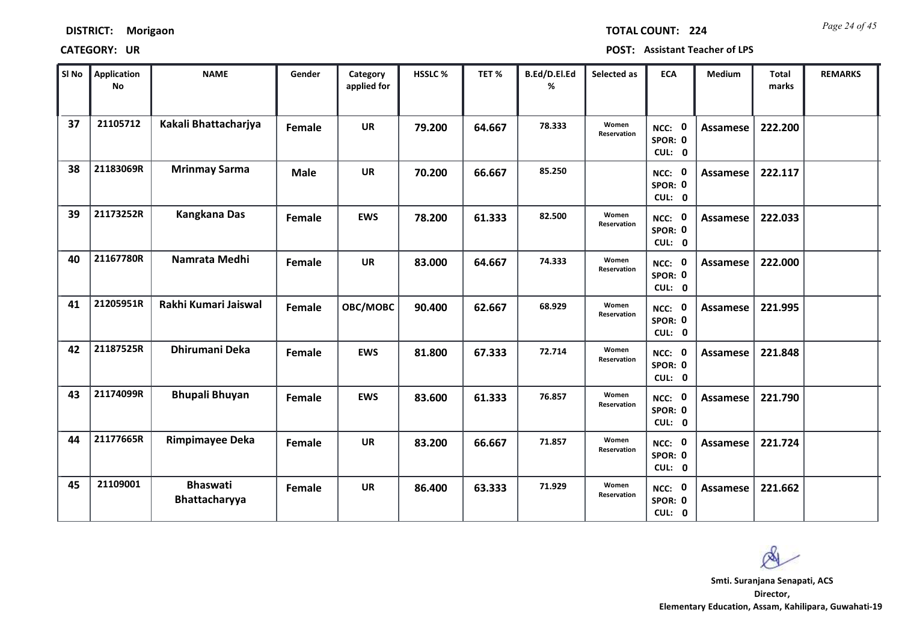*Page 24 of 45* **TOTAL COUNT: 224**

| SI No | Application<br><b>No</b> | <b>NAME</b>                      | Gender      | Category<br>applied for | <b>HSSLC %</b> | TET %  | B.Ed/D.El.Ed<br>% | Selected as          | <b>ECA</b>                               | <b>Medium</b>   | <b>Total</b><br>marks | <b>REMARKS</b> |
|-------|--------------------------|----------------------------------|-------------|-------------------------|----------------|--------|-------------------|----------------------|------------------------------------------|-----------------|-----------------------|----------------|
| 37    | 21105712                 | Kakali Bhattacharjya             | Female      | <b>UR</b>               | 79.200         | 64.667 | 78.333            | Women<br>Reservation | NCC: 0<br>SPOR: 0<br>CUL: 0              | <b>Assamese</b> | 222.200               |                |
| 38    | 21183069R                | <b>Mrinmay Sarma</b>             | <b>Male</b> | <b>UR</b>               | 70.200         | 66.667 | 85.250            |                      | NCC: 0<br>SPOR: 0<br>CUL: 0              | Assamese        | 222.117               |                |
| 39    | 21173252R                | <b>Kangkana Das</b>              | Female      | <b>EWS</b>              | 78.200         | 61.333 | 82.500            | Women<br>Reservation | NCC: 0<br>SPOR: 0<br>CUL: 0              | <b>Assamese</b> | 222.033               |                |
| 40    | 21167780R                | Namrata Medhi                    | Female      | <b>UR</b>               | 83.000         | 64.667 | 74.333            | Women<br>Reservation | $\mathbf 0$<br>NCC:<br>SPOR: 0<br>CUL: 0 | <b>Assamese</b> | 222.000               |                |
| 41    | 21205951R                | Rakhi Kumari Jaiswal             | Female      | OBC/MOBC                | 90.400         | 62.667 | 68.929            | Women<br>Reservation | NCC: 0<br>SPOR: 0<br>CUL: 0              | <b>Assamese</b> | 221.995               |                |
| 42    | 21187525R                | Dhirumani Deka                   | Female      | <b>EWS</b>              | 81.800         | 67.333 | 72.714            | Women<br>Reservation | NCC: 0<br>SPOR: 0<br>CUL: 0              | Assamese        | 221.848               |                |
| 43    | 21174099R                | <b>Bhupali Bhuyan</b>            | Female      | <b>EWS</b>              | 83.600         | 61.333 | 76.857            | Women<br>Reservation | NCC: 0<br>SPOR: 0<br>CUL: 0              | Assamese        | 221.790               |                |
| 44    | 21177665R                | <b>Rimpimayee Deka</b>           | Female      | <b>UR</b>               | 83.200         | 66.667 | 71.857            | Women<br>Reservation | NCC: 0<br>SPOR: 0<br>CUL: 0              | <b>Assamese</b> | 221.724               |                |
| 45    | 21109001                 | <b>Bhaswati</b><br>Bhattacharyya | Female      | <b>UR</b>               | 86.400         | 63.333 | 71.929            | Women<br>Reservation | NCC: 0<br>SPOR: 0<br>CUL: 0              | <b>Assamese</b> | 221.662               |                |

Ø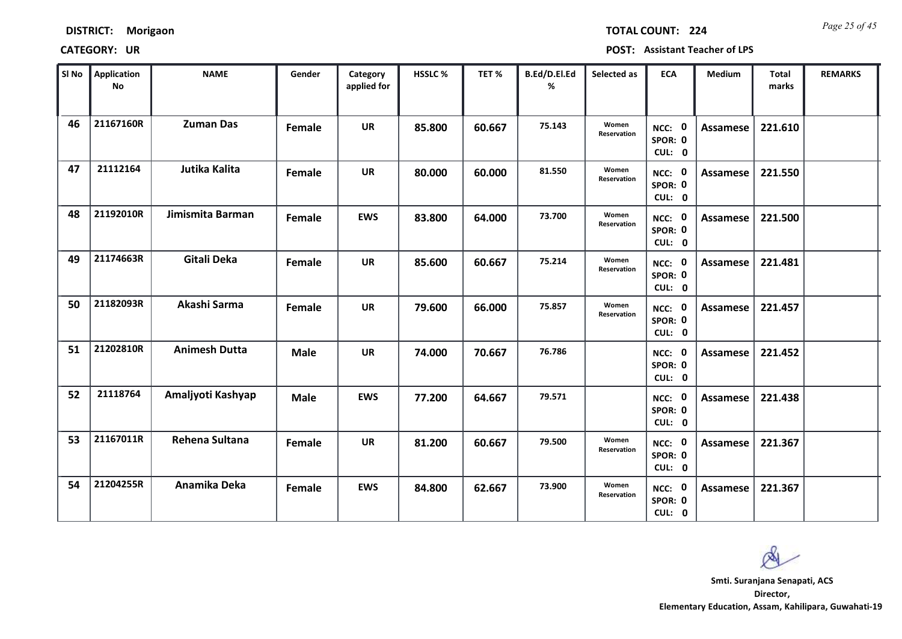*Page 25 of 45* **TOTAL COUNT: 224**

| SI <sub>No</sub> | Application<br>No | <b>NAME</b>          | Gender      | Category<br>applied for | <b>HSSLC %</b> | TET %  | B.Ed/D.El.Ed<br>% | Selected as          | <b>ECA</b>                  | <b>Medium</b>   | <b>Total</b><br>marks | <b>REMARKS</b> |
|------------------|-------------------|----------------------|-------------|-------------------------|----------------|--------|-------------------|----------------------|-----------------------------|-----------------|-----------------------|----------------|
| 46               | 21167160R         | <b>Zuman Das</b>     | Female      | <b>UR</b>               | 85.800         | 60.667 | 75.143            | Women<br>Reservation | NCC: 0<br>SPOR: 0<br>CUL: 0 | Assamese        | 221.610               |                |
| 47               | 21112164          | <b>Jutika Kalita</b> | Female      | <b>UR</b>               | 80.000         | 60.000 | 81.550            | Women<br>Reservation | NCC: 0<br>SPOR: 0<br>CUL: 0 | Assamese        | 221.550               |                |
| 48               | 21192010R         | Jimismita Barman     | Female      | <b>EWS</b>              | 83.800         | 64.000 | 73.700            | Women<br>Reservation | NCC: 0<br>SPOR: 0<br>CUL: 0 | Assamese        | 221.500               |                |
| 49               | 21174663R         | <b>Gitali Deka</b>   | Female      | <b>UR</b>               | 85.600         | 60.667 | 75.214            | Women<br>Reservation | NCC: 0<br>SPOR: 0<br>CUL: 0 | Assamese        | 221.481               |                |
| 50               | 21182093R         | Akashi Sarma         | Female      | <b>UR</b>               | 79.600         | 66.000 | 75.857            | Women<br>Reservation | NCC: 0<br>SPOR: 0<br>CUL: 0 | <b>Assamese</b> | 221.457               |                |
| 51               | 21202810R         | <b>Animesh Dutta</b> | <b>Male</b> | <b>UR</b>               | 74.000         | 70.667 | 76.786            |                      | NCC: 0<br>SPOR: 0<br>CUL: 0 | <b>Assamese</b> | 221.452               |                |
| 52               | 21118764          | Amaljyoti Kashyap    | <b>Male</b> | <b>EWS</b>              | 77.200         | 64.667 | 79.571            |                      | NCC: 0<br>SPOR: 0<br>CUL: 0 | Assamese        | 221.438               |                |
| 53               | 21167011R         | Rehena Sultana       | Female      | <b>UR</b>               | 81.200         | 60.667 | 79.500            | Women<br>Reservation | NCC: 0<br>SPOR: 0<br>CUL: 0 | <b>Assamese</b> | 221.367               |                |
| 54               | 21204255R         | Anamika Deka         | Female      | <b>EWS</b>              | 84.800         | 62.667 | 73.900            | Women<br>Reservation | NCC: 0<br>SPOR: 0<br>CUL: 0 | Assamese        | 221.367               |                |

 $\infty$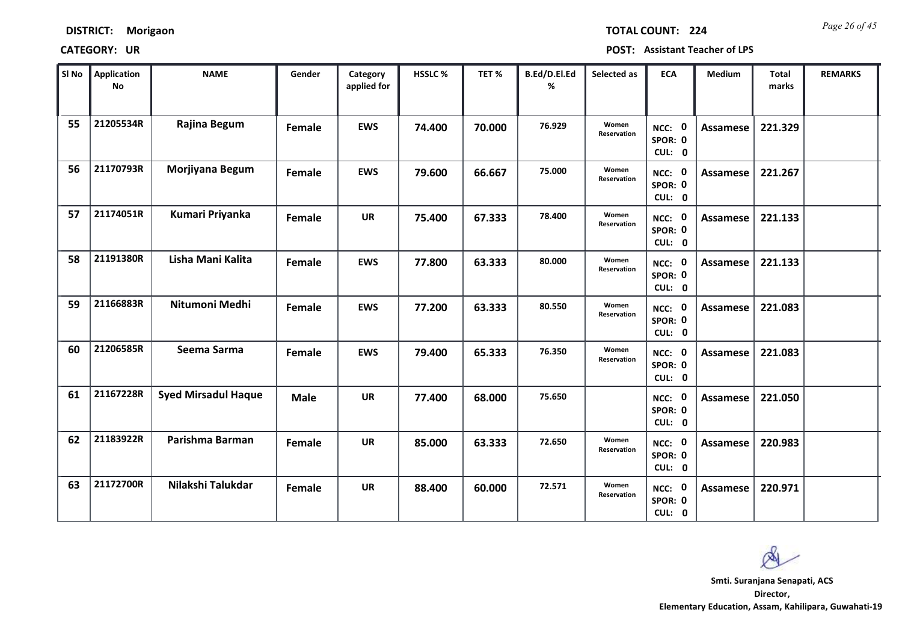*Page 26 of 45* **TOTAL COUNT: 224**

| SI No | <b>Application</b><br>No | <b>NAME</b>                | Gender      | Category<br>applied for | <b>HSSLC %</b> | TET %  | B.Ed/D.El.Ed<br>% | Selected as          | <b>ECA</b>                     | <b>Medium</b>   | <b>Total</b><br>marks | <b>REMARKS</b> |
|-------|--------------------------|----------------------------|-------------|-------------------------|----------------|--------|-------------------|----------------------|--------------------------------|-----------------|-----------------------|----------------|
| 55    | 21205534R                | Rajina Begum               | Female      | <b>EWS</b>              | 74.400         | 70.000 | 76.929            | Women<br>Reservation | NCC: 0<br>SPOR: 0<br>CUL: 0    | <b>Assamese</b> | 221.329               |                |
| 56    | 21170793R                | Morjiyana Begum            | Female      | <b>EWS</b>              | 79.600         | 66.667 | 75.000            | Women<br>Reservation | NCC: 0<br>SPOR: 0<br>CUL: 0    | Assamese        | 221.267               |                |
| 57    | 21174051R                | Kumari Priyanka            | Female      | <b>UR</b>               | 75.400         | 67.333 | 78.400            | Women<br>Reservation | NCC: 0<br>SPOR: 0<br>CUL: 0    | Assamese        | 221.133               |                |
| 58    | 21191380R                | Lisha Mani Kalita          | Female      | <b>EWS</b>              | 77.800         | 63.333 | 80.000            | Women<br>Reservation | 0<br>NCC:<br>SPOR: 0<br>CUL: 0 | Assamese        | 221.133               |                |
| 59    | 21166883R                | Nitumoni Medhi             | Female      | <b>EWS</b>              | 77.200         | 63.333 | 80.550            | Women<br>Reservation | NCC: 0<br>SPOR: 0<br>CUL: 0    | Assamese        | 221.083               |                |
| 60    | 21206585R                | Seema Sarma                | Female      | <b>EWS</b>              | 79.400         | 65.333 | 76.350            | Women<br>Reservation | NCC: 0<br>SPOR: 0<br>CUL: 0    | Assamese        | 221.083               |                |
| 61    | 21167228R                | <b>Syed Mirsadul Haque</b> | <b>Male</b> | <b>UR</b>               | 77.400         | 68.000 | 75.650            |                      | NCC: 0<br>SPOR: 0<br>CUL: 0    | Assamese        | 221.050               |                |
| 62    | 21183922R                | Parishma Barman            | Female      | <b>UR</b>               | 85.000         | 63.333 | 72.650            | Women<br>Reservation | NCC: 0<br>SPOR: 0<br>CUL: 0    | <b>Assamese</b> | 220.983               |                |
| 63    | 21172700R                | Nilakshi Talukdar          | Female      | UR                      | 88.400         | 60.000 | 72.571            | Women<br>Reservation | NCC: 0<br>SPOR: 0<br>CUL: 0    | Assamese        | 220.971               |                |

 $\infty$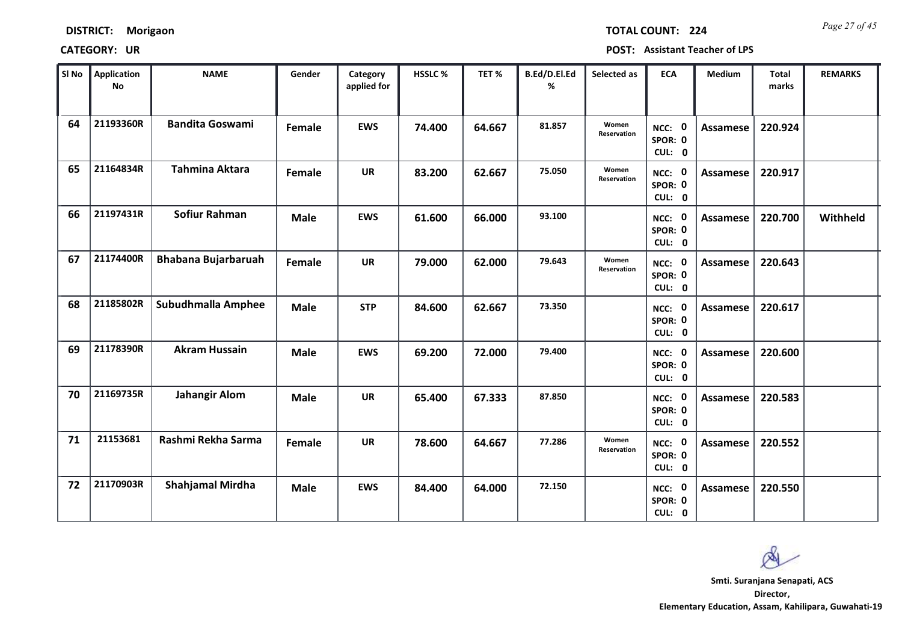| <b>DISTRICT:</b> | Morigaon |
|------------------|----------|
|------------------|----------|

*Page 27 of 45* **TOTAL COUNT: 224**

| SI <sub>No</sub> | <b>Application</b><br>No | <b>NAME</b>                | Gender      | Category<br>applied for | HSSLC % | TET %  | B.Ed/D.El.Ed<br>% | Selected as          | <b>ECA</b>                  | <b>Medium</b>   | <b>Total</b><br>marks | <b>REMARKS</b> |
|------------------|--------------------------|----------------------------|-------------|-------------------------|---------|--------|-------------------|----------------------|-----------------------------|-----------------|-----------------------|----------------|
| 64               | 21193360R                | <b>Bandita Goswami</b>     | Female      | <b>EWS</b>              | 74.400  | 64.667 | 81.857            | Women<br>Reservation | NCC: 0<br>SPOR: 0<br>CUL: 0 | <b>Assamese</b> | 220.924               |                |
| 65               | 21164834R                | Tahmina Aktara             | Female      | <b>UR</b>               | 83.200  | 62.667 | 75.050            | Women<br>Reservation | NCC: 0<br>SPOR: 0<br>CUL: 0 | <b>Assamese</b> | 220.917               |                |
| 66               | 21197431R                | <b>Sofiur Rahman</b>       | <b>Male</b> | <b>EWS</b>              | 61.600  | 66.000 | 93.100            |                      | NCC: 0<br>SPOR: 0<br>CUL: 0 | <b>Assamese</b> | 220.700               | Withheld       |
| 67               | 21174400R                | <b>Bhabana Bujarbaruah</b> | Female      | <b>UR</b>               | 79.000  | 62.000 | 79.643            | Women<br>Reservation | NCC: 0<br>SPOR: 0<br>CUL: 0 | <b>Assamese</b> | 220.643               |                |
| 68               | 21185802R                | Subudhmalla Amphee         | <b>Male</b> | <b>STP</b>              | 84.600  | 62.667 | 73.350            |                      | NCC: 0<br>SPOR: 0<br>CUL: 0 | <b>Assamese</b> | 220.617               |                |
| 69               | 21178390R                | <b>Akram Hussain</b>       | <b>Male</b> | <b>EWS</b>              | 69.200  | 72.000 | 79.400            |                      | NCC: 0<br>SPOR: 0<br>CUL: 0 | <b>Assamese</b> | 220.600               |                |
| 70               | 21169735R                | <b>Jahangir Alom</b>       | <b>Male</b> | <b>UR</b>               | 65.400  | 67.333 | 87.850            |                      | NCC: 0<br>SPOR: 0<br>CUL: 0 | <b>Assamese</b> | 220.583               |                |
| 71               | 21153681                 | Rashmi Rekha Sarma         | Female      | <b>UR</b>               | 78.600  | 64.667 | 77.286            | Women<br>Reservation | NCC: 0<br>SPOR: 0<br>CUL: 0 | <b>Assamese</b> | 220.552               |                |
| 72               | 21170903R                | <b>Shahjamal Mirdha</b>    | <b>Male</b> | <b>EWS</b>              | 84.400  | 64.000 | 72.150            |                      | NCC: 0<br>SPOR: 0<br>CUL: 0 | Assamese        | 220.550               |                |

 $\infty$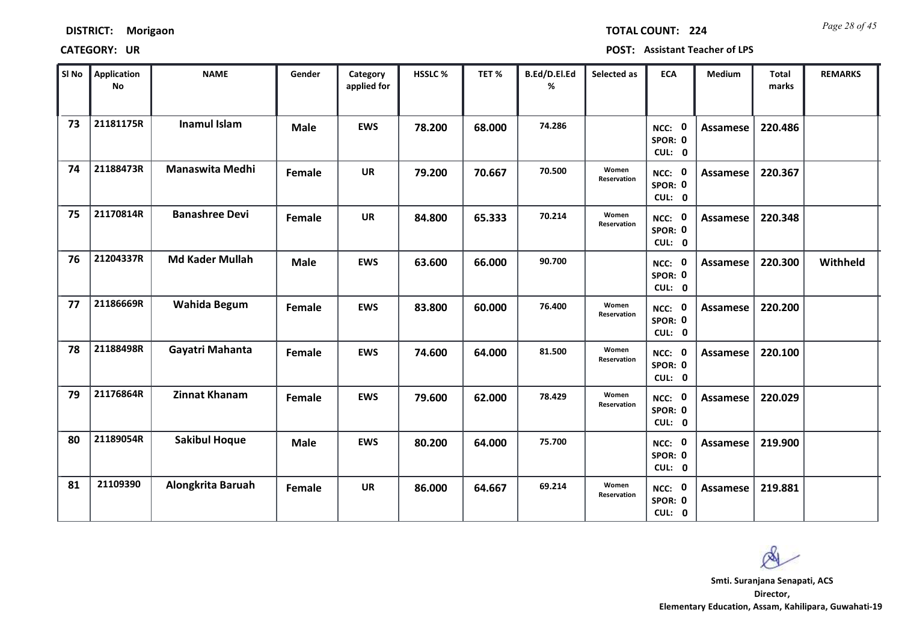| <b>DISTRICT:</b> | Morigaon |
|------------------|----------|
|------------------|----------|

*Page 28 of 45* **TOTAL COUNT: 224**

| SI No | <b>Application</b><br><b>No</b> | <b>NAME</b>            | Gender      | Category<br>applied for | <b>HSSLC %</b> | TET %  | B.Ed/D.El.Ed<br>% | Selected as          | <b>ECA</b>                  | <b>Medium</b>   | <b>Total</b><br>marks | <b>REMARKS</b> |
|-------|---------------------------------|------------------------|-------------|-------------------------|----------------|--------|-------------------|----------------------|-----------------------------|-----------------|-----------------------|----------------|
| 73    | 21181175R                       | <b>Inamul Islam</b>    | <b>Male</b> | <b>EWS</b>              | 78.200         | 68.000 | 74.286            |                      | NCC: 0<br>SPOR: 0<br>CUL: 0 | <b>Assamese</b> | 220.486               |                |
| 74    | 21188473R                       | Manaswita Medhi        | Female      | <b>UR</b>               | 79.200         | 70.667 | 70.500            | Women<br>Reservation | NCC: 0<br>SPOR: 0<br>CUL: 0 | Assamese        | 220.367               |                |
| 75    | 21170814R                       | <b>Banashree Devi</b>  | Female      | <b>UR</b>               | 84.800         | 65.333 | 70.214            | Women<br>Reservation | NCC: 0<br>SPOR: 0<br>CUL: 0 | <b>Assamese</b> | 220.348               |                |
| 76    | 21204337R                       | <b>Md Kader Mullah</b> | <b>Male</b> | <b>EWS</b>              | 63.600         | 66.000 | 90.700            |                      | NCC: 0<br>SPOR: 0<br>CUL: 0 | Assamese        | 220.300               | Withheld       |
| 77    | 21186669R                       | Wahida Begum           | Female      | <b>EWS</b>              | 83.800         | 60.000 | 76.400            | Women<br>Reservation | NCC: 0<br>SPOR: 0<br>CUL: 0 | Assamese        | 220.200               |                |
| 78    | 21188498R                       | Gayatri Mahanta        | Female      | <b>EWS</b>              | 74.600         | 64.000 | 81.500            | Women<br>Reservation | NCC: 0<br>SPOR: 0<br>CUL: 0 | Assamese        | 220.100               |                |
| 79    | 21176864R                       | <b>Zinnat Khanam</b>   | Female      | <b>EWS</b>              | 79.600         | 62.000 | 78.429            | Women<br>Reservation | NCC: 0<br>SPOR: 0<br>CUL: 0 | Assamese        | 220.029               |                |
| 80    | 21189054R                       | <b>Sakibul Hoque</b>   | <b>Male</b> | <b>EWS</b>              | 80.200         | 64.000 | 75.700            |                      | NCC: 0<br>SPOR: 0<br>CUL: 0 | Assamese        | 219.900               |                |
| 81    | 21109390                        | Alongkrita Baruah      | Female      | <b>UR</b>               | 86.000         | 64.667 | 69.214            | Women<br>Reservation | NCC: 0<br>SPOR: 0<br>CUL: 0 | Assamese        | 219.881               |                |

 $\infty$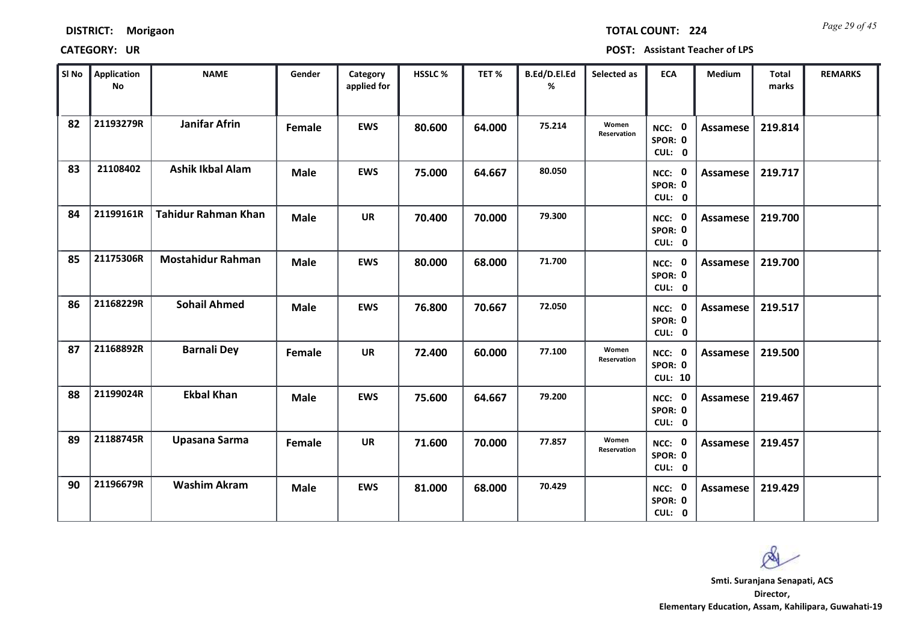| <b>DISTRICT:</b> | Morigaon |
|------------------|----------|
|------------------|----------|

*Page 29 of 45* **TOTAL COUNT: 224**

| SI No | <b>Application</b><br>No | <b>NAME</b>                | Gender      | Category<br>applied for | <b>HSSLC %</b> | TET %  | B.Ed/D.El.Ed<br>% | Selected as          | <b>ECA</b>                          | <b>Medium</b>   | <b>Total</b><br>marks | <b>REMARKS</b> |
|-------|--------------------------|----------------------------|-------------|-------------------------|----------------|--------|-------------------|----------------------|-------------------------------------|-----------------|-----------------------|----------------|
| 82    | 21193279R                | <b>Janifar Afrin</b>       | Female      | <b>EWS</b>              | 80.600         | 64.000 | 75.214            | Women<br>Reservation | NCC: 0<br>SPOR: 0<br>CUL: 0         | Assamese        | 219.814               |                |
| 83    | 21108402                 | <b>Ashik Ikbal Alam</b>    | <b>Male</b> | <b>EWS</b>              | 75.000         | 64.667 | 80.050            |                      | NCC: 0<br>SPOR: 0<br>CUL: 0         | Assamese        | 219.717               |                |
| 84    | 21199161R                | <b>Tahidur Rahman Khan</b> | <b>Male</b> | <b>UR</b>               | 70.400         | 70.000 | 79.300            |                      | NCC: 0<br>SPOR: 0<br>CUL: 0         | Assamese        | 219.700               |                |
| 85    | 21175306R                | <b>Mostahidur Rahman</b>   | <b>Male</b> | <b>EWS</b>              | 80.000         | 68.000 | 71.700            |                      | NCC: 0<br>SPOR: 0<br>CUL: 0         | Assamese        | 219.700               |                |
| 86    | 21168229R                | <b>Sohail Ahmed</b>        | <b>Male</b> | <b>EWS</b>              | 76.800         | 70.667 | 72.050            |                      | NCC: 0<br>SPOR: 0<br>CUL: 0         | Assamese        | 219.517               |                |
| 87    | 21168892R                | <b>Barnali Dey</b>         | Female      | <b>UR</b>               | 72.400         | 60.000 | 77.100            | Women<br>Reservation | NCC: 0<br>SPOR: 0<br><b>CUL: 10</b> | Assamese        | 219.500               |                |
| 88    | 21199024R                | <b>Ekbal Khan</b>          | <b>Male</b> | <b>EWS</b>              | 75.600         | 64.667 | 79.200            |                      | NCC: 0<br>SPOR: 0<br>CUL: 0         | <b>Assamese</b> | 219.467               |                |
| 89    | 21188745R                | Upasana Sarma              | Female      | <b>UR</b>               | 71.600         | 70.000 | 77.857            | Women<br>Reservation | NCC: 0<br>SPOR: 0<br>CUL: 0         | <b>Assamese</b> | 219.457               |                |
| 90    | 21196679R                | <b>Washim Akram</b>        | <b>Male</b> | <b>EWS</b>              | 81.000         | 68.000 | 70.429            |                      | NCC: 0<br>SPOR: 0<br>CUL: 0         | Assamese        | 219.429               |                |

 $\infty$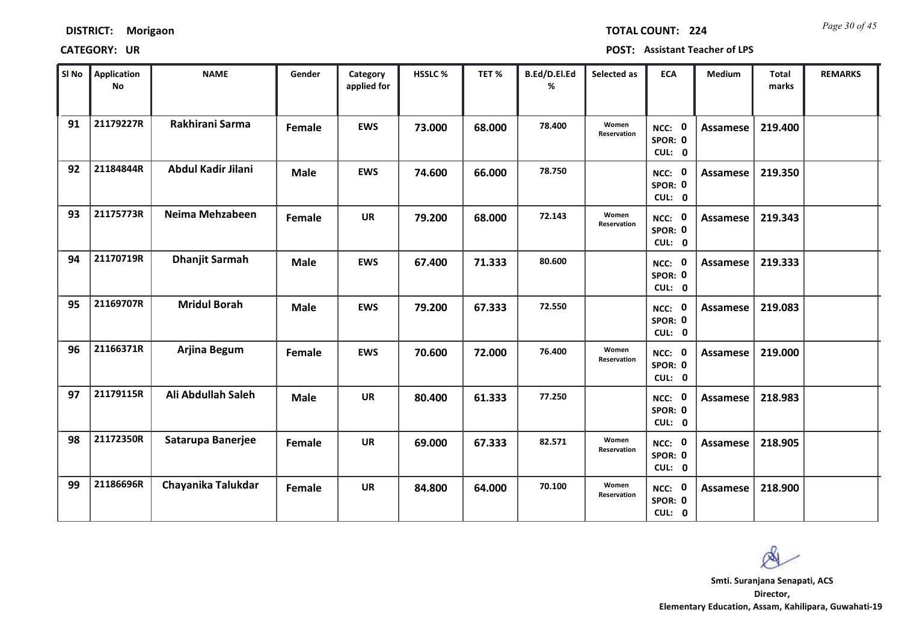*Page 30 of 45* **TOTAL COUNT: 224**

| SI <sub>No</sub> | Application<br>No | <b>NAME</b>           | Gender      | Category<br>applied for | <b>HSSLC %</b> | TET %  | B.Ed/D.El.Ed<br>% | Selected as          | <b>ECA</b>                  | <b>Medium</b>   | <b>Total</b><br>marks | <b>REMARKS</b> |
|------------------|-------------------|-----------------------|-------------|-------------------------|----------------|--------|-------------------|----------------------|-----------------------------|-----------------|-----------------------|----------------|
| 91               | 21179227R         | Rakhirani Sarma       | Female      | <b>EWS</b>              | 73.000         | 68.000 | 78,400            | Women<br>Reservation | NCC: 0<br>SPOR: 0<br>CUL: 0 | Assamese        | 219.400               |                |
| 92               | 21184844R         | Abdul Kadir Jilani    | <b>Male</b> | <b>EWS</b>              | 74.600         | 66.000 | 78.750            |                      | NCC: 0<br>SPOR: 0<br>CUL: 0 | Assamese        | 219.350               |                |
| 93               | 21175773R         | Neima Mehzabeen       | Female      | <b>UR</b>               | 79.200         | 68.000 | 72.143            | Women<br>Reservation | NCC: 0<br>SPOR: 0<br>CUL: 0 | <b>Assamese</b> | 219.343               |                |
| 94               | 21170719R         | <b>Dhanjit Sarmah</b> | <b>Male</b> | <b>EWS</b>              | 67.400         | 71.333 | 80.600            |                      | NCC: 0<br>SPOR: 0<br>CUL: 0 | <b>Assamese</b> | 219.333               |                |
| 95               | 21169707R         | <b>Mridul Borah</b>   | <b>Male</b> | <b>EWS</b>              | 79.200         | 67.333 | 72.550            |                      | NCC: 0<br>SPOR: 0<br>CUL: 0 | <b>Assamese</b> | 219.083               |                |
| 96               | 21166371R         | Arjina Begum          | Female      | <b>EWS</b>              | 70.600         | 72.000 | 76.400            | Women<br>Reservation | NCC: 0<br>SPOR: 0<br>CUL: 0 | Assamese        | 219.000               |                |
| 97               | 21179115R         | Ali Abdullah Saleh    | <b>Male</b> | <b>UR</b>               | 80.400         | 61.333 | 77.250            |                      | NCC: 0<br>SPOR: 0<br>CUL: 0 | Assamese        | 218.983               |                |
| 98               | 21172350R         | Satarupa Banerjee     | Female      | <b>UR</b>               | 69.000         | 67.333 | 82.571            | Women<br>Reservation | NCC: 0<br>SPOR: 0<br>CUL: 0 | <b>Assamese</b> | 218.905               |                |
| 99               | 21186696R         | Chayanika Talukdar    | Female      | <b>UR</b>               | 84.800         | 64.000 | 70.100            | Women<br>Reservation | NCC: 0<br>SPOR: 0<br>CUL: 0 | Assamese        | 218.900               |                |

Ø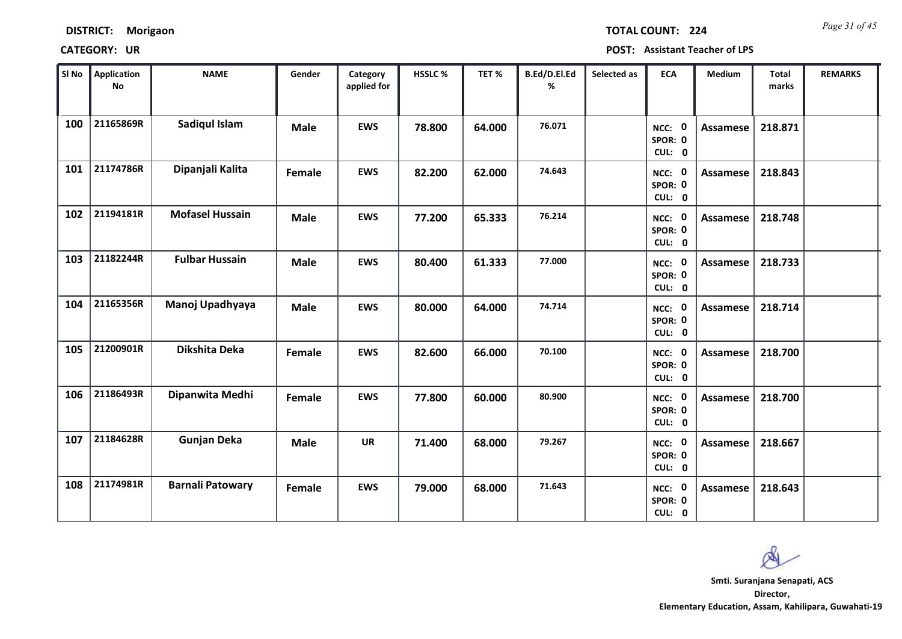*Page 31 of 45* **TOTAL COUNT: 224**

| SI No | <b>Application</b><br><b>No</b> | <b>NAME</b>             | Gender      | Category<br>applied for | <b>HSSLC%</b> | TET %  | B.Ed/D.El.Ed<br>% | Selected as | <b>ECA</b>                  | <b>Medium</b>   | <b>Total</b><br>marks | <b>REMARKS</b> |
|-------|---------------------------------|-------------------------|-------------|-------------------------|---------------|--------|-------------------|-------------|-----------------------------|-----------------|-----------------------|----------------|
| 100   | 21165869R                       | <b>Sadiqul Islam</b>    | <b>Male</b> | <b>EWS</b>              | 78.800        | 64.000 | 76.071            |             | NCC: 0<br>SPOR: 0<br>CUL: 0 | <b>Assamese</b> | 218.871               |                |
| 101   | 21174786R                       | Dipanjali Kalita        | Female      | <b>EWS</b>              | 82.200        | 62.000 | 74.643            |             | NCC: 0<br>SPOR: 0<br>CUL: 0 | Assamese        | 218.843               |                |
| 102   | 21194181R                       | <b>Mofasel Hussain</b>  | <b>Male</b> | <b>EWS</b>              | 77.200        | 65.333 | 76.214            |             | NCC: 0<br>SPOR: 0<br>CUL: 0 | <b>Assamese</b> | 218.748               |                |
| 103   | 21182244R                       | <b>Fulbar Hussain</b>   | <b>Male</b> | <b>EWS</b>              | 80.400        | 61.333 | 77.000            |             | NCC: 0<br>SPOR: 0<br>CUL: 0 | <b>Assamese</b> | 218.733               |                |
| 104   | 21165356R                       | Manoj Upadhyaya         | <b>Male</b> | <b>EWS</b>              | 80.000        | 64.000 | 74.714            |             | NCC: 0<br>SPOR: 0<br>CUL: 0 | Assamese        | 218.714               |                |
| 105   | 21200901R                       | Dikshita Deka           | Female      | <b>EWS</b>              | 82.600        | 66.000 | 70.100            |             | NCC: 0<br>SPOR: 0<br>CUL: 0 | <b>Assamese</b> | 218.700               |                |
| 106   | 21186493R                       | Dipanwita Medhi         | Female      | <b>EWS</b>              | 77.800        | 60.000 | 80.900            |             | NCC: 0<br>SPOR: 0<br>CUL: 0 | Assamese        | 218.700               |                |
| 107   | 21184628R                       | <b>Gunjan Deka</b>      | <b>Male</b> | <b>UR</b>               | 71.400        | 68.000 | 79.267            |             | NCC: 0<br>SPOR: 0<br>CUL: 0 | <b>Assamese</b> | 218.667               |                |
| 108   | 21174981R                       | <b>Barnali Patowary</b> | Female      | <b>EWS</b>              | 79.000        | 68.000 | 71.643            |             | NCC: 0<br>SPOR: 0<br>CUL: 0 | Assamese        | 218.643               |                |

 $\infty$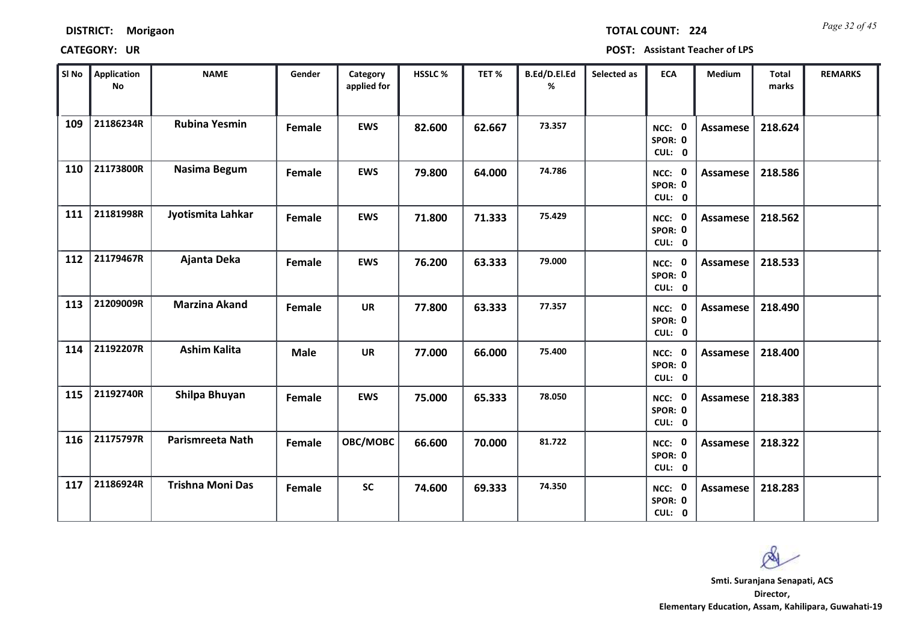| <b>DISTRICT:</b> | Morigaon |
|------------------|----------|
|------------------|----------|

*Page 32 of 45* **TOTAL COUNT: 224**

| SI No | <b>Application</b><br><b>No</b> | <b>NAME</b>             | Gender      | Category<br>applied for | HSSLC % | TET %  | B.Ed/D.El.Ed<br>% | Selected as | <b>ECA</b>                       | Medium          | <b>Total</b><br>marks | <b>REMARKS</b> |
|-------|---------------------------------|-------------------------|-------------|-------------------------|---------|--------|-------------------|-------------|----------------------------------|-----------------|-----------------------|----------------|
| 109   | 21186234R                       | <b>Rubina Yesmin</b>    | Female      | <b>EWS</b>              | 82.600  | 62.667 | 73.357            |             | NCC: 0<br>SPOR: 0<br>CUL: 0      | <b>Assamese</b> | 218.624               |                |
| 110   | 21173800R                       | Nasima Begum            | Female      | <b>EWS</b>              | 79.800  | 64.000 | 74.786            |             | NCC: 0<br>SPOR: 0<br>CUL: 0      | Assamese        | 218.586               |                |
| 111   | 21181998R                       | Jyotismita Lahkar       | Female      | <b>EWS</b>              | 71.800  | 71.333 | 75.429            |             | NCC: 0<br>SPOR: 0<br>CUL: 0      | Assamese        | 218.562               |                |
| 112   | 21179467R                       | Ajanta Deka             | Female      | <b>EWS</b>              | 76.200  | 63.333 | 79.000            |             | - 0<br>NCC:<br>SPOR: 0<br>CUL: 0 | Assamese        | 218.533               |                |
| 113   | 21209009R                       | <b>Marzina Akand</b>    | Female      | <b>UR</b>               | 77.800  | 63.333 | 77.357            |             | NCC: 0<br>SPOR: 0<br>CUL: 0      | Assamese        | 218.490               |                |
| 114   | 21192207R                       | <b>Ashim Kalita</b>     | <b>Male</b> | <b>UR</b>               | 77.000  | 66.000 | 75.400            |             | NCC: 0<br>SPOR: 0<br>CUL: 0      | <b>Assamese</b> | 218.400               |                |
| 115   | 21192740R                       | Shilpa Bhuyan           | Female      | <b>EWS</b>              | 75.000  | 65.333 | 78.050            |             | NCC: 0<br>SPOR: 0<br>CUL: 0      | <b>Assamese</b> | 218.383               |                |
| 116   | 21175797R                       | <b>Parismreeta Nath</b> | Female      | OBC/MOBC                | 66.600  | 70.000 | 81.722            |             | NCC: 0<br>SPOR: 0<br>CUL: 0      | <b>Assamese</b> | 218.322               |                |
| 117   | 21186924R                       | <b>Trishna Moni Das</b> | Female      | <b>SC</b>               | 74.600  | 69.333 | 74.350            |             | NCC: 0<br>SPOR: 0<br>CUL: 0      | Assamese        | 218.283               |                |

 $\infty$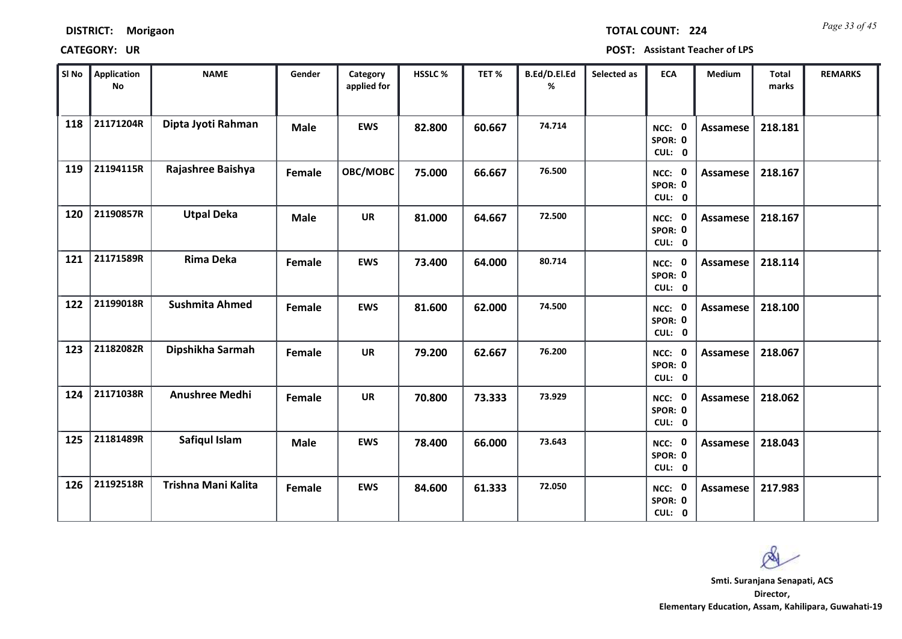| <b>DISTRICT:</b> | Morigaon |
|------------------|----------|
|------------------|----------|

| SI No | Application<br><b>No</b> | <b>NAME</b>           | Gender      | Category<br>applied for | HSSLC % | TET%   | B.Ed/D.El.Ed<br>% | Selected as | <b>ECA</b>                  | <b>Medium</b>   | <b>Total</b><br>marks | <b>REMARKS</b> |
|-------|--------------------------|-----------------------|-------------|-------------------------|---------|--------|-------------------|-------------|-----------------------------|-----------------|-----------------------|----------------|
| 118   | 21171204R                | Dipta Jyoti Rahman    | <b>Male</b> | <b>EWS</b>              | 82.800  | 60.667 | 74.714            |             | NCC: 0<br>SPOR: 0<br>CUL: 0 | Assamese        | 218.181               |                |
| 119   | 21194115R                | Rajashree Baishya     | Female      | OBC/MOBC                | 75.000  | 66.667 | 76.500            |             | NCC: 0<br>SPOR: 0<br>CUL: 0 | <b>Assamese</b> | 218.167               |                |
| 120   | 21190857R                | <b>Utpal Deka</b>     | <b>Male</b> | <b>UR</b>               | 81.000  | 64.667 | 72.500            |             | NCC: 0<br>SPOR: 0<br>CUL: 0 | Assamese        | 218.167               |                |
| 121   | 21171589R                | <b>Rima Deka</b>      | Female      | <b>EWS</b>              | 73.400  | 64.000 | 80.714            |             | NCC: 0<br>SPOR: 0<br>CUL: 0 | <b>Assamese</b> | 218.114               |                |
| 122   | 21199018R                | <b>Sushmita Ahmed</b> | Female      | <b>EWS</b>              | 81.600  | 62.000 | 74.500            |             | NCC: 0<br>SPOR: 0<br>CUL: 0 | Assamese        | 218.100               |                |
| 123   | 21182082R                | Dipshikha Sarmah      | Female      | <b>UR</b>               | 79.200  | 62.667 | 76.200            |             | NCC: 0<br>SPOR: 0<br>CUL: 0 | Assamese        | 218.067               |                |
| 124   | 21171038R                | <b>Anushree Medhi</b> | Female      | <b>UR</b>               | 70.800  | 73.333 | 73.929            |             | NCC: 0<br>SPOR: 0<br>CUL: 0 | Assamese        | 218.062               |                |
| 125   | 21181489R                | Safiqul Islam         | <b>Male</b> | <b>EWS</b>              | 78.400  | 66.000 | 73.643            |             | NCC: 0<br>SPOR: 0<br>CUL: 0 | Assamese        | 218.043               |                |
| 126   | 21192518R                | Trishna Mani Kalita   | Female      | <b>EWS</b>              | 84.600  | 61.333 | 72.050            |             | NCC: 0<br>SPOR: 0<br>CUL: 0 | <b>Assamese</b> | 217.983               |                |

 $\infty$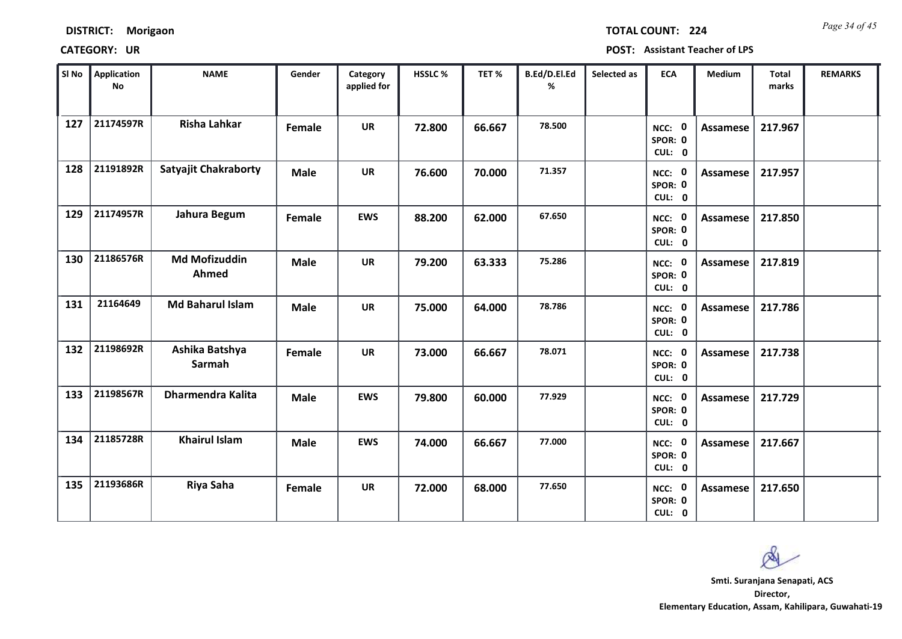*Page 34 of 45* **TOTAL COUNT: 224**

**CATEGORY: UR POST: Assistant Teacher of LPS**

| SI <sub>No</sub> | <b>Application</b><br><b>No</b> | <b>NAME</b>                   | Gender      | Category<br>applied for | <b>HSSLC %</b> | TET %  | B.Ed/D.El.Ed<br>% | Selected as | <b>ECA</b>                  | <b>Medium</b>   | <b>Total</b><br>marks | <b>REMARKS</b> |
|------------------|---------------------------------|-------------------------------|-------------|-------------------------|----------------|--------|-------------------|-------------|-----------------------------|-----------------|-----------------------|----------------|
| 127              | 21174597R                       | <b>Risha Lahkar</b>           | Female      | <b>UR</b>               | 72.800         | 66.667 | 78.500            |             | NCC: 0<br>SPOR: 0<br>CUL: 0 | <b>Assamese</b> | 217.967               |                |
| 128              | 21191892R                       | <b>Satyajit Chakraborty</b>   | <b>Male</b> | <b>UR</b>               | 76.600         | 70.000 | 71.357            |             | NCC: 0<br>SPOR: 0<br>CUL: 0 | Assamese        | 217.957               |                |
| 129              | 21174957R                       | Jahura Begum                  | Female      | <b>EWS</b>              | 88.200         | 62.000 | 67.650            |             | NCC: 0<br>SPOR: 0<br>CUL: 0 | <b>Assamese</b> | 217.850               |                |
| 130              | 21186576R                       | <b>Md Mofizuddin</b><br>Ahmed | <b>Male</b> | <b>UR</b>               | 79.200         | 63.333 | 75.286            |             | NCC: 0<br>SPOR: 0<br>CUL: 0 | <b>Assamese</b> | 217.819               |                |
| 131              | 21164649                        | <b>Md Baharul Islam</b>       | <b>Male</b> | <b>UR</b>               | 75.000         | 64.000 | 78.786            |             | NCC: 0<br>SPOR: 0<br>CUL: 0 | Assamese        | 217.786               |                |
| 132              | 21198692R                       | Ashika Batshya<br>Sarmah      | Female      | <b>UR</b>               | 73.000         | 66.667 | 78.071            |             | NCC: 0<br>SPOR: 0<br>CUL: 0 | <b>Assamese</b> | 217.738               |                |
| 133              | 21198567R                       | <b>Dharmendra Kalita</b>      | <b>Male</b> | <b>EWS</b>              | 79.800         | 60.000 | 77.929            |             | NCC: 0<br>SPOR: 0<br>CUL: 0 | <b>Assamese</b> | 217.729               |                |
| 134              | 21185728R                       | <b>Khairul Islam</b>          | <b>Male</b> | <b>EWS</b>              | 74.000         | 66.667 | 77.000            |             | NCC: 0<br>SPOR: 0<br>CUL: 0 | <b>Assamese</b> | 217.667               |                |
| 135              | 21193686R                       | Riya Saha                     | Female      | <b>UR</b>               | 72.000         | 68.000 | 77.650            |             | NCC: 0<br>SPOR: 0<br>CUL: 0 | <b>Assamese</b> | 217.650               |                |

 $\infty$ 

**Director, Elementary Education, Assam, Kahilipara, Guwahati-19 Smti. Suranjana Senapati, ACS**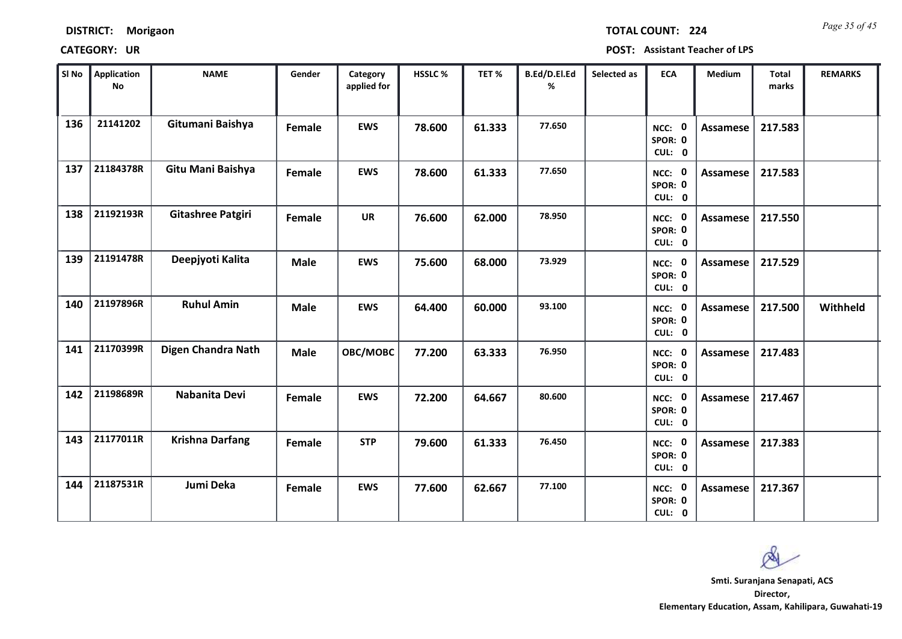*Page 35 of 45* **TOTAL COUNT: 224**

| SI No | <b>Application</b><br>No | <b>NAME</b>            | Gender      | Category<br>applied for | <b>HSSLC%</b> | TET %  | B.Ed/D.El.Ed<br>% | Selected as | <b>ECA</b>                  | <b>Medium</b>   | <b>Total</b><br>marks | <b>REMARKS</b> |
|-------|--------------------------|------------------------|-------------|-------------------------|---------------|--------|-------------------|-------------|-----------------------------|-----------------|-----------------------|----------------|
| 136   | 21141202                 | Gitumani Baishya       | Female      | <b>EWS</b>              | 78.600        | 61.333 | 77.650            |             | NCC: 0<br>SPOR: 0<br>CUL: 0 | Assamese        | 217.583               |                |
| 137   | 21184378R                | Gitu Mani Baishya      | Female      | <b>EWS</b>              | 78.600        | 61.333 | 77.650            |             | NCC: 0<br>SPOR: 0<br>CUL: 0 | Assamese        | 217.583               |                |
| 138   | 21192193R                | Gitashree Patgiri      | Female      | <b>UR</b>               | 76.600        | 62.000 | 78.950            |             | NCC: 0<br>SPOR: 0<br>CUL: 0 | <b>Assamese</b> | 217.550               |                |
| 139   | 21191478R                | Deepjyoti Kalita       | <b>Male</b> | <b>EWS</b>              | 75.600        | 68.000 | 73.929            |             | NCC: 0<br>SPOR: 0<br>CUL: 0 | Assamese        | 217.529               |                |
| 140   | 21197896R                | <b>Ruhul Amin</b>      | <b>Male</b> | <b>EWS</b>              | 64.400        | 60.000 | 93.100            |             | NCC: 0<br>SPOR: 0<br>CUL: 0 | Assamese        | 217.500               | Withheld       |
| 141   | 21170399R                | Digen Chandra Nath     | <b>Male</b> | OBC/MOBC                | 77.200        | 63.333 | 76.950            |             | NCC: 0<br>SPOR: 0<br>CUL: 0 | Assamese        | 217.483               |                |
| 142   | 21198689R                | Nabanita Devi          | Female      | <b>EWS</b>              | 72.200        | 64.667 | 80.600            |             | NCC: 0<br>SPOR: 0<br>CUL: 0 | Assamese        | 217.467               |                |
| 143   | 21177011R                | <b>Krishna Darfang</b> | Female      | <b>STP</b>              | 79.600        | 61.333 | 76.450            |             | NCC: 0<br>SPOR: 0<br>CUL: 0 | <b>Assamese</b> | 217.383               |                |
| 144   | 21187531R                | Jumi Deka              | Female      | <b>EWS</b>              | 77.600        | 62.667 | 77.100            |             | NCC: 0<br>SPOR: 0<br>CUL: 0 | Assamese        | 217.367               |                |

 $\infty$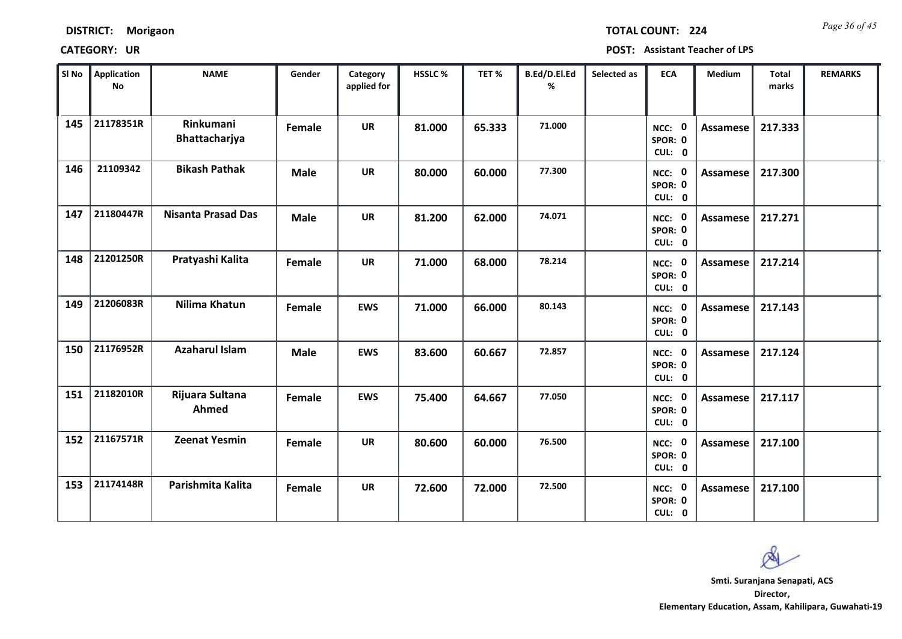**DISTRICT: Morigaon**

*Page 36 of 45* **TOTAL COUNT: 224**

| SI No | <b>Application</b><br><b>No</b> | <b>NAME</b>                | Gender      | Category<br>applied for | HSSLC% | TET%   | B.Ed/D.El.Ed<br>% | Selected as | <b>ECA</b>                  | Medium          | Total<br>marks | <b>REMARKS</b> |
|-------|---------------------------------|----------------------------|-------------|-------------------------|--------|--------|-------------------|-------------|-----------------------------|-----------------|----------------|----------------|
| 145   | 21178351R                       | Rinkumani<br>Bhattacharjya | Female      | <b>UR</b>               | 81.000 | 65.333 | 71.000            |             | NCC: 0<br>SPOR: 0<br>CUL: 0 | Assamese        | 217.333        |                |
| 146   | 21109342                        | <b>Bikash Pathak</b>       | <b>Male</b> | <b>UR</b>               | 80.000 | 60.000 | 77.300            |             | NCC: 0<br>SPOR: 0<br>CUL: 0 | Assamese        | 217.300        |                |
| 147   | 21180447R                       | <b>Nisanta Prasad Das</b>  | <b>Male</b> | <b>UR</b>               | 81.200 | 62.000 | 74.071            |             | NCC: 0<br>SPOR: 0<br>CUL: 0 | <b>Assamese</b> | 217.271        |                |
| 148   | 21201250R                       | Pratyashi Kalita           | Female      | <b>UR</b>               | 71.000 | 68.000 | 78.214            |             | NCC: 0<br>SPOR: 0<br>CUL: 0 | <b>Assamese</b> | 217.214        |                |
| 149   | 21206083R                       | Nilima Khatun              | Female      | <b>EWS</b>              | 71.000 | 66.000 | 80.143            |             | NCC: 0<br>SPOR: 0<br>CUL: 0 | <b>Assamese</b> | 217.143        |                |
| 150   | 21176952R                       | <b>Azaharul Islam</b>      | <b>Male</b> | <b>EWS</b>              | 83.600 | 60.667 | 72.857            |             | NCC: 0<br>SPOR: 0<br>CUL: 0 | Assamese        | 217.124        |                |
| 151   | 21182010R                       | Rijuara Sultana<br>Ahmed   | Female      | <b>EWS</b>              | 75.400 | 64.667 | 77.050            |             | NCC: 0<br>SPOR: 0<br>CUL: 0 | Assamese        | 217.117        |                |
| 152   | 21167571R                       | <b>Zeenat Yesmin</b>       | Female      | <b>UR</b>               | 80.600 | 60.000 | 76.500            |             | NCC: 0<br>SPOR: 0<br>CUL: 0 | <b>Assamese</b> | 217.100        |                |
| 153   | 21174148R                       | Parishmita Kalita          | Female      | <b>UR</b>               | 72.600 | 72.000 | 72.500            |             | NCC: 0<br>SPOR: 0<br>CUL: 0 | <b>Assamese</b> | 217.100        |                |

Ø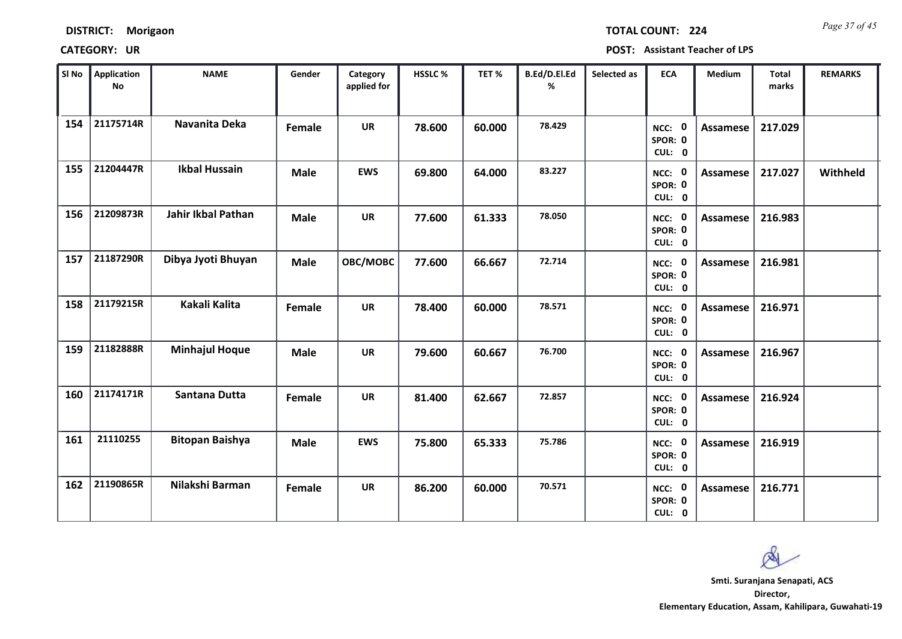*Page 37 of 45* **TOTAL COUNT: 224**

| SI No | <b>Application</b><br>No | <b>NAME</b>               | Gender      | Category<br>applied for | HSSLC % | TET %  | B.Ed/D.El.Ed<br>% | Selected as | <b>ECA</b>                  | <b>Medium</b>   | <b>Total</b><br>marks | <b>REMARKS</b> |
|-------|--------------------------|---------------------------|-------------|-------------------------|---------|--------|-------------------|-------------|-----------------------------|-----------------|-----------------------|----------------|
| 154   | 21175714R                | Navanita Deka             | Female      | <b>UR</b>               | 78.600  | 60.000 | 78.429            |             | NCC: 0<br>SPOR: 0<br>CUL: 0 | <b>Assamese</b> | 217.029               |                |
| 155   | 21204447R                | <b>Ikbal Hussain</b>      | <b>Male</b> | <b>EWS</b>              | 69.800  | 64.000 | 83.227            |             | NCC: 0<br>SPOR: 0<br>CUL: 0 | Assamese        | 217.027               | Withheld       |
| 156   | 21209873R                | <b>Jahir Ikbal Pathan</b> | <b>Male</b> | <b>UR</b>               | 77.600  | 61.333 | 78.050            |             | NCC: 0<br>SPOR: 0<br>CUL: 0 | <b>Assamese</b> | 216.983               |                |
| 157   | 21187290R                | Dibya Jyoti Bhuyan        | <b>Male</b> | OBC/MOBC                | 77.600  | 66.667 | 72.714            |             | NCC: 0<br>SPOR: 0<br>CUL: 0 | Assamese        | 216.981               |                |
| 158   | 21179215R                | Kakali Kalita             | Female      | <b>UR</b>               | 78.400  | 60.000 | 78.571            |             | NCC: 0<br>SPOR: 0<br>CUL: 0 | <b>Assamese</b> | 216.971               |                |
| 159   | 21182888R                | <b>Minhajul Hoque</b>     | <b>Male</b> | <b>UR</b>               | 79.600  | 60.667 | 76.700            |             | NCC: 0<br>SPOR: 0<br>CUL: 0 | <b>Assamese</b> | 216.967               |                |
| 160   | 21174171R                | <b>Santana Dutta</b>      | Female      | <b>UR</b>               | 81.400  | 62.667 | 72.857            |             | NCC: 0<br>SPOR: 0<br>CUL: 0 | <b>Assamese</b> | 216.924               |                |
| 161   | 21110255                 | <b>Bitopan Baishya</b>    | <b>Male</b> | <b>EWS</b>              | 75.800  | 65.333 | 75.786            |             | NCC: 0<br>SPOR: 0<br>CUL: 0 | <b>Assamese</b> | 216.919               |                |
| 162   | 21190865R                | Nilakshi Barman           | Female      | <b>UR</b>               | 86.200  | 60.000 | 70.571            |             | NCC: 0<br>SPOR: 0<br>CUL: 0 | Assamese        | 216.771               |                |

 $\infty$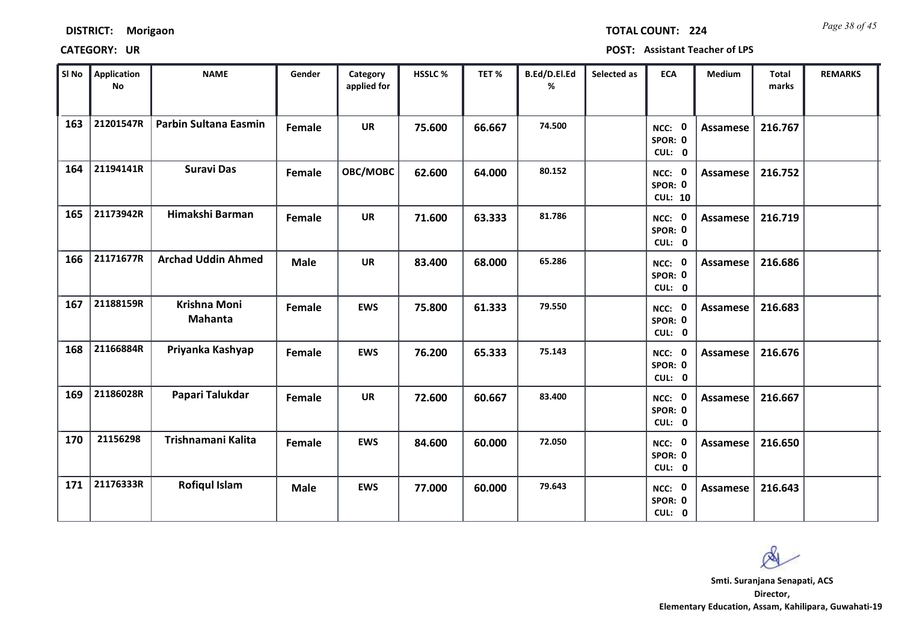*Page 38 of 45* **TOTAL COUNT: 224**

| SI No | <b>Application</b><br><b>No</b> | <b>NAME</b>               | Gender      | Category<br>applied for | <b>HSSLC%</b> | TET %  | B.Ed/D.El.Ed<br>% | Selected as | <b>ECA</b>                          | <b>Medium</b>   | <b>Total</b><br>marks | <b>REMARKS</b> |
|-------|---------------------------------|---------------------------|-------------|-------------------------|---------------|--------|-------------------|-------------|-------------------------------------|-----------------|-----------------------|----------------|
| 163   | 21201547R                       | Parbin Sultana Easmin     | Female      | <b>UR</b>               | 75.600        | 66.667 | 74.500            |             | NCC: 0<br>SPOR: 0<br>CUL: 0         | <b>Assamese</b> | 216.767               |                |
| 164   | 21194141R                       | <b>Suravi Das</b>         | Female      | OBC/MOBC                | 62.600        | 64.000 | 80.152            |             | NCC: 0<br>SPOR: 0<br><b>CUL: 10</b> | Assamese        | 216.752               |                |
| 165   | 21173942R                       | Himakshi Barman           | Female      | <b>UR</b>               | 71.600        | 63.333 | 81.786            |             | NCC: 0<br>SPOR: 0<br>CUL: 0         | <b>Assamese</b> | 216.719               |                |
| 166   | 21171677R                       | <b>Archad Uddin Ahmed</b> | <b>Male</b> | <b>UR</b>               | 83.400        | 68.000 | 65.286            |             | - 0<br>NCC:<br>SPOR: 0<br>CUL: 0    | Assamese        | 216.686               |                |
| 167   | 21188159R                       | Krishna Moni<br>Mahanta   | Female      | <b>EWS</b>              | 75.800        | 61.333 | 79.550            |             | NCC: 0<br>SPOR: 0<br>CUL: 0         | <b>Assamese</b> | 216.683               |                |
| 168   | 21166884R                       | Priyanka Kashyap          | Female      | <b>EWS</b>              | 76.200        | 65.333 | 75.143            |             | NCC: 0<br>SPOR: 0<br>CUL: 0         | Assamese        | 216.676               |                |
| 169   | 21186028R                       | Papari Talukdar           | Female      | <b>UR</b>               | 72.600        | 60.667 | 83.400            |             | NCC: 0<br>SPOR: 0<br>CUL: 0         | Assamese        | 216.667               |                |
| 170   | 21156298                        | Trishnamani Kalita        | Female      | <b>EWS</b>              | 84.600        | 60.000 | 72.050            |             | NCC: 0<br>SPOR: 0<br>CUL: 0         | <b>Assamese</b> | 216.650               |                |
| 171   | 21176333R                       | <b>Rofiqul Islam</b>      | <b>Male</b> | <b>EWS</b>              | 77.000        | 60.000 | 79.643            |             | NCC: 0<br>SPOR: 0<br>CUL: 0         | Assamese        | 216.643               |                |

 $\infty$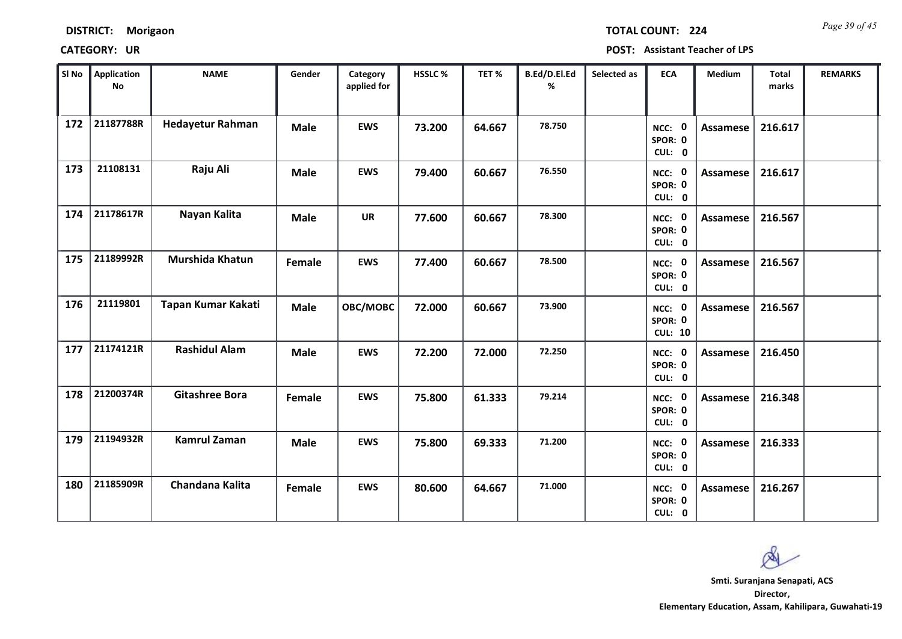*Page 39 of 45* **TOTAL COUNT: 224**

| SI No | Application<br>No | <b>NAME</b>             | Gender        | Category<br>applied for | <b>HSSLC %</b> | TET %  | B.Ed/D.El.Ed<br>% | Selected as | <b>ECA</b>                          | <b>Medium</b>   | Total<br>marks | <b>REMARKS</b> |
|-------|-------------------|-------------------------|---------------|-------------------------|----------------|--------|-------------------|-------------|-------------------------------------|-----------------|----------------|----------------|
| 172   | 21187788R         | <b>Hedayetur Rahman</b> | <b>Male</b>   | <b>EWS</b>              | 73.200         | 64.667 | 78.750            |             | NCC: 0<br>SPOR: 0<br>CUL: 0         | Assamese        | 216.617        |                |
| 173   | 21108131          | Raju Ali                | <b>Male</b>   | <b>EWS</b>              | 79.400         | 60.667 | 76.550            |             | NCC: 0<br>SPOR: 0<br>CUL: 0         | Assamese        | 216.617        |                |
| 174   | 21178617R         | Nayan Kalita            | <b>Male</b>   | <b>UR</b>               | 77.600         | 60.667 | 78.300            |             | NCC: 0<br>SPOR: 0<br>CUL: 0         | <b>Assamese</b> | 216.567        |                |
| 175   | 21189992R         | Murshida Khatun         | <b>Female</b> | <b>EWS</b>              | 77.400         | 60.667 | 78.500            |             | NCC: 0<br>SPOR: 0<br>CUL: 0         | Assamese        | 216.567        |                |
| 176   | 21119801          | Tapan Kumar Kakati      | <b>Male</b>   | OBC/MOBC                | 72.000         | 60.667 | 73.900            |             | NCC: 0<br>SPOR: 0<br><b>CUL: 10</b> | Assamese        | 216.567        |                |
| 177   | 21174121R         | <b>Rashidul Alam</b>    | <b>Male</b>   | <b>EWS</b>              | 72.200         | 72.000 | 72.250            |             | NCC: 0<br>SPOR: 0<br>CUL: 0         | <b>Assamese</b> | 216.450        |                |
| 178   | 21200374R         | <b>Gitashree Bora</b>   | Female        | <b>EWS</b>              | 75.800         | 61.333 | 79.214            |             | NCC: 0<br>SPOR: 0<br>CUL: 0         | <b>Assamese</b> | 216.348        |                |
| 179   | 21194932R         | <b>Kamrul Zaman</b>     | <b>Male</b>   | <b>EWS</b>              | 75.800         | 69.333 | 71.200            |             | NCC: 0<br>SPOR: 0<br>CUL: 0         | Assamese        | 216.333        |                |
| 180   | 21185909R         | Chandana Kalita         | Female        | <b>EWS</b>              | 80.600         | 64.667 | 71.000            |             | NCC: 0<br>SPOR: 0<br>CUL: 0         | Assamese        | 216.267        |                |

 $\infty$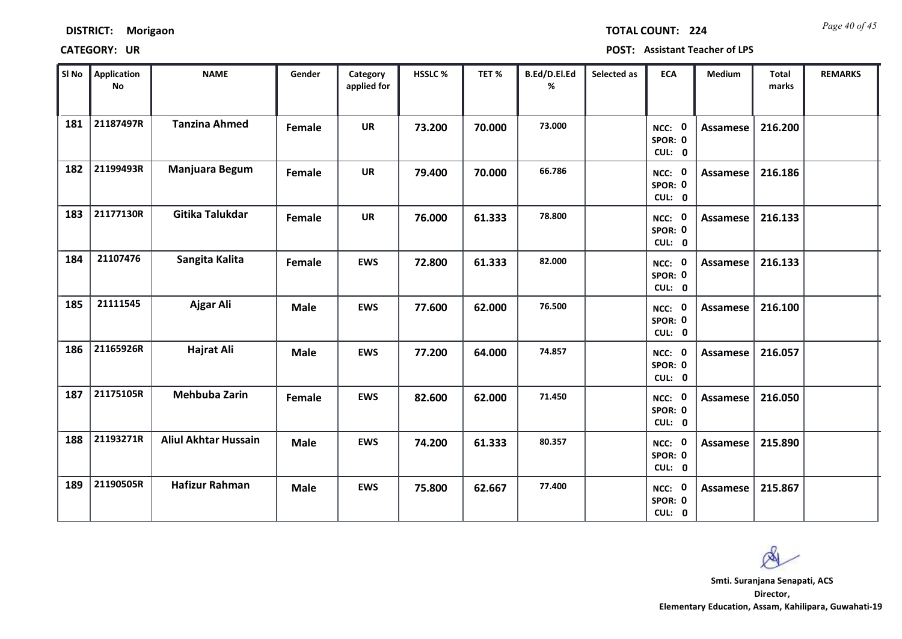| <b>DISTRICT:</b> | Morigaon |
|------------------|----------|
|------------------|----------|

*Page 40 of 45* **TOTAL COUNT: 224**

| SI No | <b>Application</b><br>No | <b>NAME</b>                 | Gender      | Category<br>applied for | <b>HSSLC %</b> | TET %  | B.Ed/D.El.Ed<br>% | Selected as | <b>ECA</b>                     | <b>Medium</b>   | <b>Total</b><br>marks | <b>REMARKS</b> |
|-------|--------------------------|-----------------------------|-------------|-------------------------|----------------|--------|-------------------|-------------|--------------------------------|-----------------|-----------------------|----------------|
| 181   | 21187497R                | <b>Tanzina Ahmed</b>        | Female      | <b>UR</b>               | 73.200         | 70.000 | 73.000            |             | NCC: 0<br>SPOR: 0<br>CUL: 0    | <b>Assamese</b> | 216.200               |                |
| 182   | 21199493R                | Manjuara Begum              | Female      | <b>UR</b>               | 79.400         | 70.000 | 66.786            |             | NCC: 0<br>SPOR: 0<br>CUL: 0    | Assamese        | 216.186               |                |
| 183   | 21177130R                | Gitika Talukdar             | Female      | <b>UR</b>               | 76.000         | 61.333 | 78.800            |             | NCC: 0<br>SPOR: 0<br>CUL: 0    | <b>Assamese</b> | 216.133               |                |
| 184   | 21107476                 | Sangita Kalita              | Female      | <b>EWS</b>              | 72.800         | 61.333 | 82.000            |             | 0<br>NCC:<br>SPOR: 0<br>CUL: 0 | Assamese        | 216.133               |                |
| 185   | 21111545                 | Ajgar Ali                   | <b>Male</b> | <b>EWS</b>              | 77.600         | 62.000 | 76.500            |             | NCC: 0<br>SPOR: 0<br>CUL: 0    | Assamese        | 216.100               |                |
| 186   | 21165926R                | Hajrat Ali                  | <b>Male</b> | <b>EWS</b>              | 77.200         | 64.000 | 74.857            |             | NCC: 0<br>SPOR: 0<br>CUL: 0    | Assamese        | 216.057               |                |
| 187   | 21175105R                | <b>Mehbuba Zarin</b>        | Female      | <b>EWS</b>              | 82.600         | 62.000 | 71.450            |             | NCC: 0<br>SPOR: 0<br>CUL: 0    | Assamese        | 216.050               |                |
| 188   | 21193271R                | <b>Aliul Akhtar Hussain</b> | <b>Male</b> | <b>EWS</b>              | 74.200         | 61.333 | 80.357            |             | NCC: 0<br>SPOR: 0<br>CUL: 0    | <b>Assamese</b> | 215.890               |                |
| 189   | 21190505R                | <b>Hafizur Rahman</b>       | <b>Male</b> | <b>EWS</b>              | 75.800         | 62.667 | 77.400            |             | NCC: 0<br>SPOR: 0<br>CUL: 0    | Assamese        | 215.867               |                |

 $\infty$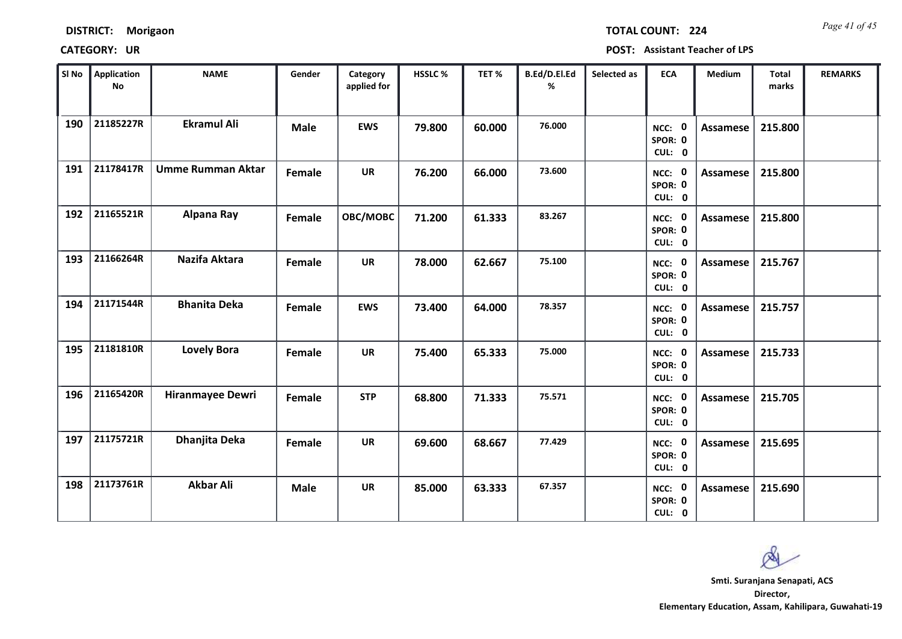| <b>DISTRICT:</b> | Morigaon |
|------------------|----------|
|------------------|----------|

*Page 41 of 45* **TOTAL COUNT: 224**

| SI No | Application<br>$\mathop{\mathsf{No}}$ | <b>NAME</b>              | Gender      | Category<br>applied for | HSSLC % | TET%   | B.Ed/D.El.Ed<br>% | Selected as | <b>ECA</b>                  | <b>Medium</b>   | <b>Total</b><br>marks | <b>REMARKS</b> |
|-------|---------------------------------------|--------------------------|-------------|-------------------------|---------|--------|-------------------|-------------|-----------------------------|-----------------|-----------------------|----------------|
| 190   | 21185227R                             | <b>Ekramul Ali</b>       | <b>Male</b> | <b>EWS</b>              | 79.800  | 60.000 | 76.000            |             | NCC: 0<br>SPOR: 0<br>CUL: 0 | <b>Assamese</b> | 215.800               |                |
| 191   | 21178417R                             | <b>Umme Rumman Aktar</b> | Female      | <b>UR</b>               | 76.200  | 66.000 | 73.600            |             | NCC: 0<br>SPOR: 0<br>CUL: 0 | Assamese        | 215.800               |                |
| 192   | 21165521R                             | Alpana Ray               | Female      | OBC/MOBC                | 71.200  | 61.333 | 83.267            |             | NCC: 0<br>SPOR: 0<br>CUL: 0 | <b>Assamese</b> | 215.800               |                |
| 193   | 21166264R                             | Nazifa Aktara            | Female      | <b>UR</b>               | 78.000  | 62.667 | 75.100            |             | NCC: 0<br>SPOR: 0<br>CUL: 0 | Assamese        | 215.767               |                |
| 194   | 21171544R                             | <b>Bhanita Deka</b>      | Female      | <b>EWS</b>              | 73.400  | 64.000 | 78.357            |             | NCC: 0<br>SPOR: 0<br>CUL: 0 | Assamese        | 215.757               |                |
| 195   | 21181810R                             | <b>Lovely Bora</b>       | Female      | <b>UR</b>               | 75.400  | 65.333 | 75.000            |             | NCC: 0<br>SPOR: 0<br>CUL: 0 | Assamese        | 215.733               |                |
| 196   | 21165420R                             | <b>Hiranmayee Dewri</b>  | Female      | <b>STP</b>              | 68.800  | 71.333 | 75.571            |             | NCC: 0<br>SPOR: 0<br>CUL: 0 | Assamese        | 215.705               |                |
| 197   | 21175721R                             | Dhanjita Deka            | Female      | <b>UR</b>               | 69.600  | 68.667 | 77.429            |             | NCC: 0<br>SPOR: 0<br>CUL: 0 | <b>Assamese</b> | 215.695               |                |
| 198   | 21173761R                             | <b>Akbar Ali</b>         | <b>Male</b> | <b>UR</b>               | 85.000  | 63.333 | 67.357            |             | NCC: 0<br>SPOR: 0<br>CUL: 0 | Assamese        | 215.690               |                |

 $\infty$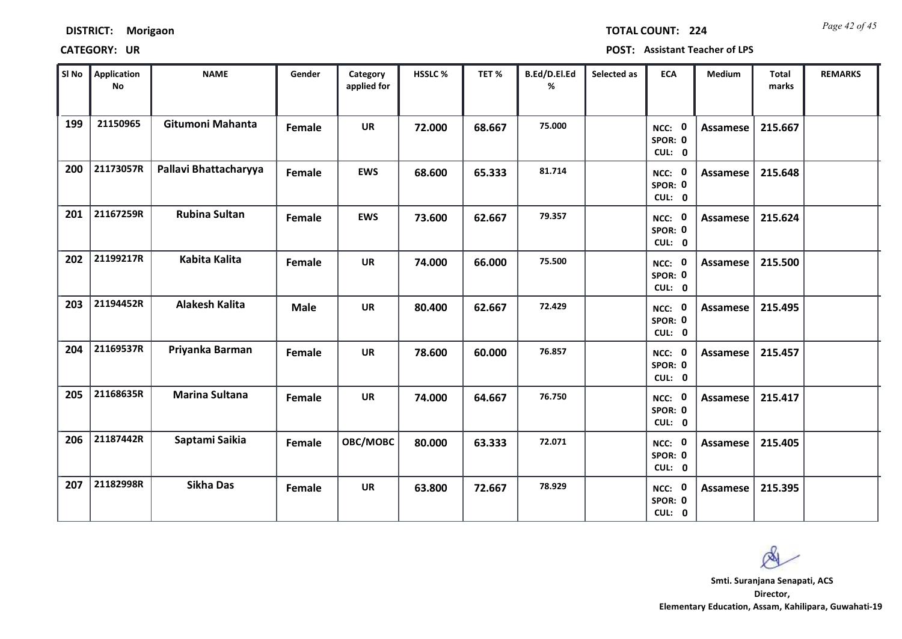*Page 42 of 45* **TOTAL COUNT: 224**

| SI No | <b>Application</b><br>No | <b>NAME</b>           | Gender      | Category<br>applied for | HSSLC% | TET%   | B.Ed/D.El.Ed<br>% | Selected as | <b>ECA</b>                  | Medium          | Total<br>marks | <b>REMARKS</b> |
|-------|--------------------------|-----------------------|-------------|-------------------------|--------|--------|-------------------|-------------|-----------------------------|-----------------|----------------|----------------|
| 199   | 21150965                 | Gitumoni Mahanta      | Female      | <b>UR</b>               | 72.000 | 68.667 | 75.000            |             | NCC: 0<br>SPOR: 0<br>CUL: 0 | Assamese        | 215.667        |                |
| 200   | 21173057R                | Pallavi Bhattacharyya | Female      | <b>EWS</b>              | 68.600 | 65.333 | 81.714            |             | NCC: 0<br>SPOR: 0<br>CUL: 0 | Assamese        | 215.648        |                |
| 201   | 21167259R                | <b>Rubina Sultan</b>  | Female      | <b>EWS</b>              | 73.600 | 62.667 | 79.357            |             | NCC: 0<br>SPOR: 0<br>CUL: 0 | <b>Assamese</b> | 215.624        |                |
| 202   | 21199217R                | Kabita Kalita         | Female      | <b>UR</b>               | 74.000 | 66.000 | 75.500            |             | NCC: 0<br>SPOR: 0<br>CUL: 0 | Assamese        | 215.500        |                |
| 203   | 21194452R                | <b>Alakesh Kalita</b> | <b>Male</b> | <b>UR</b>               | 80.400 | 62.667 | 72.429            |             | NCC: 0<br>SPOR: 0<br>CUL: 0 | Assamese        | 215.495        |                |
| 204   | 21169537R                | Priyanka Barman       | Female      | <b>UR</b>               | 78.600 | 60.000 | 76.857            |             | NCC: 0<br>SPOR: 0<br>CUL: 0 | <b>Assamese</b> | 215.457        |                |
| 205   | 21168635R                | <b>Marina Sultana</b> | Female      | <b>UR</b>               | 74.000 | 64.667 | 76.750            |             | NCC: 0<br>SPOR: 0<br>CUL: 0 | <b>Assamese</b> | 215.417        |                |
| 206   | 21187442R                | Saptami Saikia        | Female      | OBC/MOBC                | 80.000 | 63.333 | 72.071            |             | NCC: 0<br>SPOR: 0<br>CUL: 0 | <b>Assamese</b> | 215.405        |                |
| 207   | 21182998R                | <b>Sikha Das</b>      | Female      | <b>UR</b>               | 63.800 | 72.667 | 78.929            |             | NCC: 0<br>SPOR: 0<br>CUL: 0 | Assamese        | 215.395        |                |

 $\infty$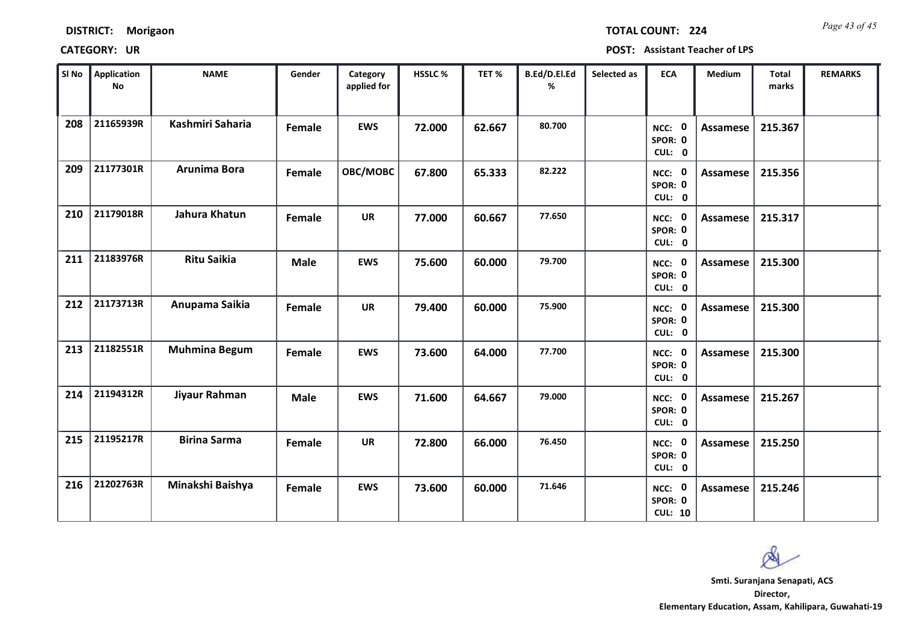*Page 43 of 45* **TOTAL COUNT: 224**

| SI No | <b>Application</b><br>No | <b>NAME</b>          | Gender      | Category<br>applied for | <b>HSSLC%</b> | TET %  | B.Ed/D.El.Ed<br>% | Selected as | <b>ECA</b>                          | <b>Medium</b>   | <b>Total</b><br>marks | <b>REMARKS</b> |
|-------|--------------------------|----------------------|-------------|-------------------------|---------------|--------|-------------------|-------------|-------------------------------------|-----------------|-----------------------|----------------|
| 208   | 21165939R                | Kashmiri Saharia     | Female      | <b>EWS</b>              | 72.000        | 62.667 | 80.700            |             | NCC: 0<br>SPOR: 0<br>CUL: 0         | Assamese        | 215.367               |                |
| 209   | 21177301R                | Arunima Bora         | Female      | OBC/MOBC                | 67.800        | 65.333 | 82.222            |             | NCC: 0<br>SPOR: 0<br>CUL: 0         | Assamese        | 215.356               |                |
| 210   | 21179018R                | Jahura Khatun        | Female      | <b>UR</b>               | 77.000        | 60.667 | 77.650            |             | NCC: 0<br>SPOR: 0<br>CUL: 0         | <b>Assamese</b> | 215.317               |                |
| 211   | 21183976R                | <b>Ritu Saikia</b>   | <b>Male</b> | <b>EWS</b>              | 75.600        | 60.000 | 79.700            |             | NCC: 0<br>SPOR: 0<br>CUL: 0         | <b>Assamese</b> | 215.300               |                |
| 212   | 21173713R                | Anupama Saikia       | Female      | <b>UR</b>               | 79.400        | 60.000 | 75.900            |             | NCC: 0<br>SPOR: 0<br>CUL: 0         | Assamese        | 215.300               |                |
| 213   | 21182551R                | <b>Muhmina Begum</b> | Female      | <b>EWS</b>              | 73.600        | 64.000 | 77.700            |             | NCC: 0<br>SPOR: 0<br>CUL: 0         | Assamese        | 215.300               |                |
| 214   | 21194312R                | Jiyaur Rahman        | <b>Male</b> | <b>EWS</b>              | 71.600        | 64.667 | 79.000            |             | NCC: 0<br>SPOR: 0<br>CUL: 0         | Assamese        | 215.267               |                |
| 215   | 21195217R                | <b>Birina Sarma</b>  | Female      | <b>UR</b>               | 72.800        | 66.000 | 76.450            |             | NCC: 0<br>SPOR: 0<br>CUL: 0         | <b>Assamese</b> | 215.250               |                |
| 216   | 21202763R                | Minakshi Baishya     | Female      | <b>EWS</b>              | 73.600        | 60.000 | 71.646            |             | NCC: 0<br>SPOR: 0<br><b>CUL: 10</b> | Assamese        | 215.246               |                |

 $\infty$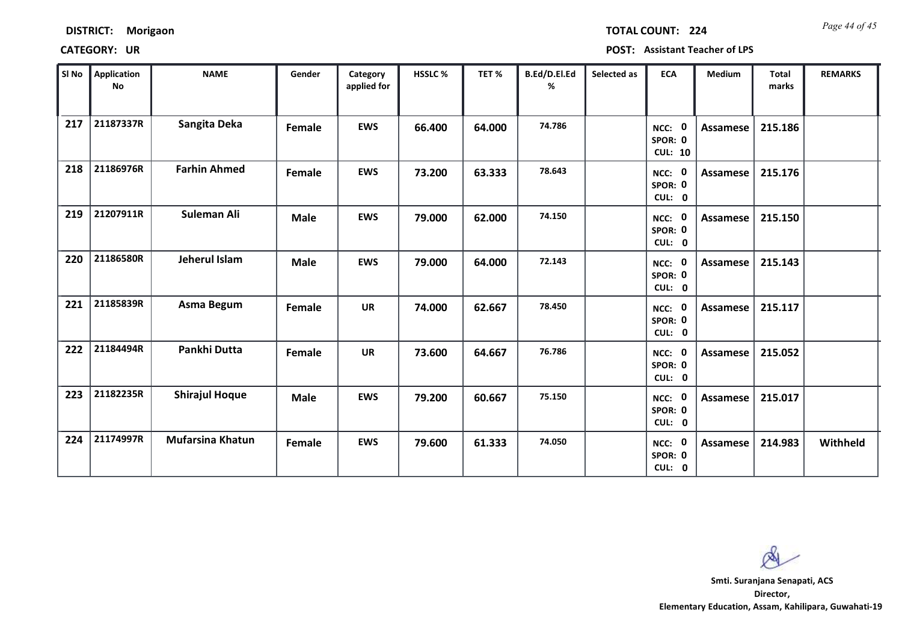| <b>DISTRICT:</b> | Morigaon |
|------------------|----------|
|------------------|----------|

*Page 44 of 45* **TOTAL COUNT: 224**

**CATEGORY: UR POST: Assistant Teacher of LPS**

| SI No | <b>Application</b><br>No | <b>NAME</b>             | Gender      | Category<br>applied for | HSSLC% | TET%   | B.Ed/D.El.Ed<br>% | Selected as | <b>ECA</b>                          | Medium          | <b>Total</b><br>marks | <b>REMARKS</b> |
|-------|--------------------------|-------------------------|-------------|-------------------------|--------|--------|-------------------|-------------|-------------------------------------|-----------------|-----------------------|----------------|
| 217   | 21187337R                | Sangita Deka            | Female      | <b>EWS</b>              | 66.400 | 64.000 | 74.786            |             | NCC: 0<br>SPOR: 0<br><b>CUL: 10</b> | Assamese        | 215.186               |                |
| 218   | 21186976R                | <b>Farhin Ahmed</b>     | Female      | <b>EWS</b>              | 73.200 | 63.333 | 78.643            |             | NCC: 0<br>SPOR: 0<br>CUL: 0         | Assamese        | 215.176               |                |
| 219   | 21207911R                | Suleman Ali             | <b>Male</b> | <b>EWS</b>              | 79.000 | 62.000 | 74.150            |             | NCC: 0<br>SPOR: 0<br>CUL: 0         | Assamese        | 215.150               |                |
| 220   | 21186580R                | Jeherul Islam           | <b>Male</b> | <b>EWS</b>              | 79.000 | 64.000 | 72.143            |             | NCC: 0<br>SPOR: 0<br>CUL: 0         | Assamese        | 215.143               |                |
| 221   | 21185839R                | Asma Begum              | Female      | <b>UR</b>               | 74.000 | 62.667 | 78.450            |             | NCC: 0<br>SPOR: 0<br>CUL: 0         | <b>Assamese</b> | 215.117               |                |
| 222   | 21184494R                | Pankhi Dutta            | Female      | <b>UR</b>               | 73.600 | 64.667 | 76.786            |             | NCC: 0<br>SPOR: 0<br>CUL: 0         | Assamese        | 215.052               |                |
| 223   | 21182235R                | <b>Shirajul Hoque</b>   | <b>Male</b> | <b>EWS</b>              | 79.200 | 60.667 | 75.150            |             | NCC: 0<br>SPOR: 0<br>CUL: 0         | Assamese        | 215.017               |                |
| 224   | 21174997R                | <b>Mufarsina Khatun</b> | Female      | <b>EWS</b>              | 79.600 | 61.333 | 74.050            |             | NCC: 0<br>SPOR: 0<br>CUL: 0         | Assamese        | 214.983               | Withheld       |

 $\infty$ 

**Director, Elementary Education, Assam, Kahilipara, Guwahati-19 Smti. Suranjana Senapati, ACS**